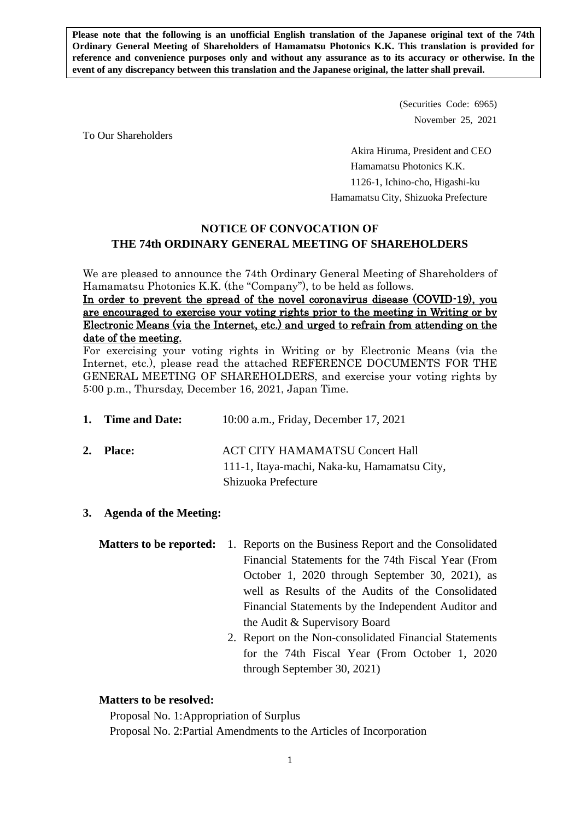**Please note that the following is an unofficial English translation of the Japanese original text of the 74th Ordinary General Meeting of Shareholders of Hamamatsu Photonics K.K. This translation is provided for reference and convenience purposes only and without any assurance as to its accuracy or otherwise. In the event of any discrepancy between this translation and the Japanese original, the latter shall prevail.**

> (Securities Code: 6965) November 25, 2021

To Our Shareholders

Akira Hiruma, President and CEO Hamamatsu Photonics K.K. 1126-1, Ichino-cho, Higashi-ku Hamamatsu City, Shizuoka Prefecture

# **NOTICE OF CONVOCATION OF THE 74th ORDINARY GENERAL MEETING OF SHAREHOLDERS**

We are pleased to announce the 74th Ordinary General Meeting of Shareholders of Hamamatsu Photonics K.K. (the "Company"), to be held as follows.

In order to prevent the spread of the novel coronavirus disease (COVID-19), you are encouraged to exercise your voting rights prior to the meeting in Writing or by Electronic Means (via the Internet, etc.) and urged to refrain from attending on the date of the meeting.

For exercising your voting rights in Writing or by Electronic Means (via the Internet, etc.), please read the attached REFERENCE DOCUMENTS FOR THE GENERAL MEETING OF SHAREHOLDERS, and exercise your voting rights by 5:00 p.m., Thursday, December 16, 2021, Japan Time.

| 1. Time and Date: | 10:00 a.m., Friday, December 17, 2021                                                  |
|-------------------|----------------------------------------------------------------------------------------|
| 2. Place:         | <b>ACT CITY HAMAMATSU Concert Hall</b><br>111-1, Itaya-machi, Naka-ku, Hamamatsu City, |
|                   | Shizuoka Prefecture                                                                    |

# **3. Agenda of the Meeting:**

- **Matters to be reported:** 1. Reports on the Business Report and the Consolidated Financial Statements for the 74th Fiscal Year (From October 1, 2020 through September 30, 2021), as well as Results of the Audits of the Consolidated Financial Statements by the Independent Auditor and the Audit & Supervisory Board
	- 2. Report on the Non-consolidated Financial Statements for the 74th Fiscal Year (From October 1, 2020 through September 30, 2021)

### **Matters to be resolved:**

Proposal No. 1:Appropriation of Surplus

Proposal No. 2:Partial Amendments to the Articles of Incorporation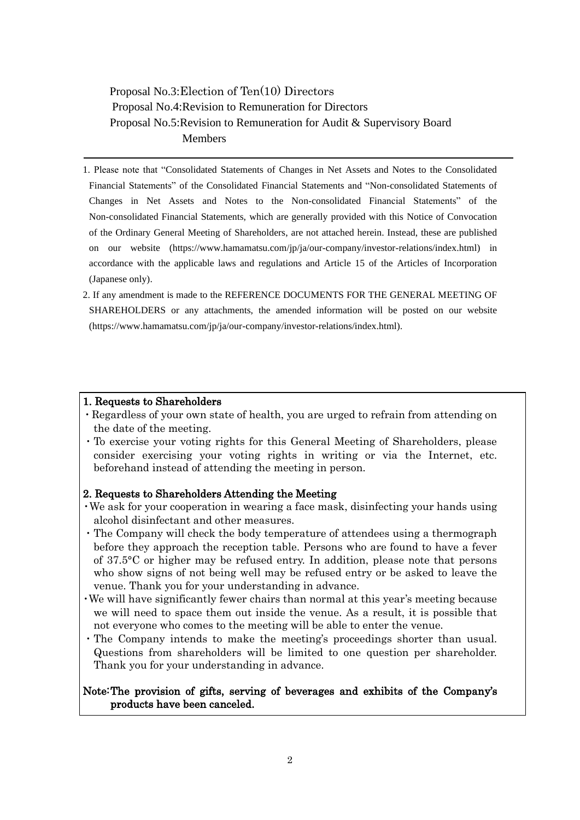Proposal No.3:Election of Ten(10) Directors Proposal No.4:Revision to Remuneration for Directors Proposal No.5:Revision to Remuneration for Audit & Supervisory Board Members

- 1. Please note that "Consolidated Statements of Changes in Net Assets and Notes to the Consolidated Financial Statements" of the Consolidated Financial Statements and "Non-consolidated Statements of Changes in Net Assets and Notes to the Non-consolidated Financial Statements" of the Non-consolidated Financial Statements, which are generally provided with this Notice of Convocation of the Ordinary General Meeting of Shareholders, are not attached herein. Instead, these are published on our website (https://www.hamamatsu.com/jp/ja/our-company/investor-relations/index.html) in accordance with the applicable laws and regulations and Article 15 of the Articles of Incorporation (Japanese only).
- 2. If any amendment is made to the REFERENCE DOCUMENTS FOR THE GENERAL MEETING OF SHAREHOLDERS or any attachments, the amended information will be posted on our website (https://www.hamamatsu.com/jp/ja/our-company/investor-relations/index.html).

### 1. Requests to Shareholders

- ・Regardless of your own state of health, you are urged to refrain from attending on the date of the meeting.
- ・To exercise your voting rights for this General Meeting of Shareholders, please consider exercising your voting rights in writing or via the Internet, etc. beforehand instead of attending the meeting in person.

### 2. Requests to Shareholders Attending the Meeting

- ・We ask for your cooperation in wearing a face mask, disinfecting your hands using alcohol disinfectant and other measures.
- ・The Company will check the body temperature of attendees using a thermograph before they approach the reception table. Persons who are found to have a fever of 37.5°C or higher may be refused entry. In addition, please note that persons who show signs of not being well may be refused entry or be asked to leave the venue. Thank you for your understanding in advance.
- ・We will have significantly fewer chairs than normal at this year's meeting because we will need to space them out inside the venue. As a result, it is possible that not everyone who comes to the meeting will be able to enter the venue.
- ・The Company intends to make the meeting's proceedings shorter than usual. Questions from shareholders will be limited to one question per shareholder. Thank you for your understanding in advance.

# Note: The provision of gifts, serving of beverages and exhibits of the Company's products have been canceled.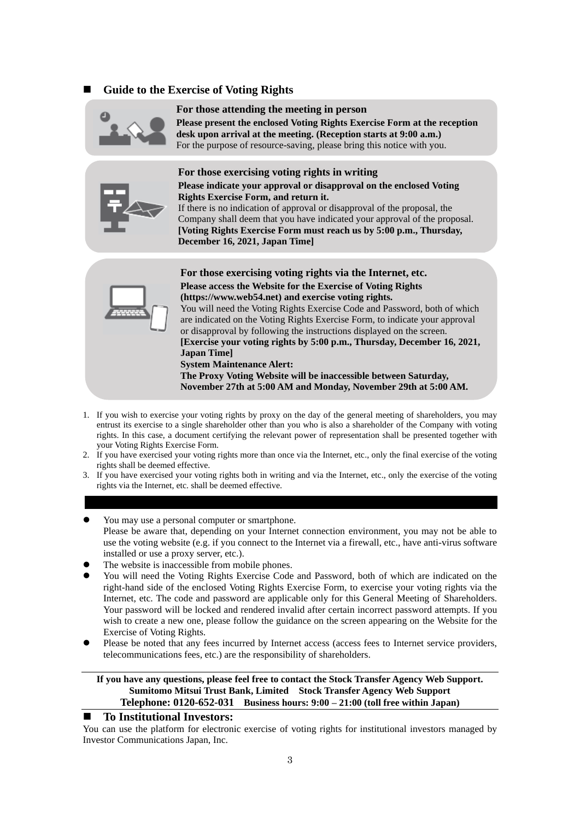### ◼ **Guide to the Exercise of Voting Rights**



#### **For those attending the meeting in person**

**Please present the enclosed Voting Rights Exercise Form at the reception desk upon arrival at the meeting. (Reception starts at 9:00 a.m.)** For the purpose of resource-saving, please bring this notice with you.



### **For those exercising voting rights in writing**

#### **Please indicate your approval or disapproval on the enclosed Voting Rights Exercise Form, and return it.**

If there is no indication of approval or disapproval of the proposal, the Company shall deem that you have indicated your approval of the proposal. **[Voting Rights Exercise Form must reach us by 5:00 p.m., Thursday, December 16, 2021, Japan Time]**



**For those exercising voting rights via the Internet, etc. Please access the Website for the Exercise of Voting Rights (https://www.web54.net) and exercise voting rights.** You will need the Voting Rights Exercise Code and Password, both of which

are indicated on the Voting Rights Exercise Form, to indicate your approval or disapproval by following the instructions displayed on the screen. **[Exercise your voting rights by 5:00 p.m., Thursday, December 16, 2021, Japan Time]**

**System Maintenance Alert:**

**The Proxy Voting Website will be inaccessible between Saturday, November 27th at 5:00 AM and Monday, November 29th at 5:00 AM.**

- 1. If you wish to exercise your voting rights by proxy on the day of the general meeting of shareholders, you may entrust its exercise to a single shareholder other than you who is also a shareholder of the Company with voting rights. In this case, a document certifying the relevant power of representation shall be presented together with your Voting Rights Exercise Form.
- 2. If you have exercised your voting rights more than once via the Internet, etc., only the final exercise of the voting rights shall be deemed effective.
- 3. If you have exercised your voting rights both in writing and via the Internet, etc., only the exercise of the voting rights via the Internet, etc. shall be deemed effective.

#### ⚫ You may use a personal computer or smartphone.

- Please be aware that, depending on your Internet connection environment, you may not be able to use the voting website (e.g. if you connect to the Internet via a firewall, etc., have anti-virus software installed or use a proxy server, etc.).
- ⚫ The website is inaccessible from mobile phones.
- ⚫ You will need the Voting Rights Exercise Code and Password, both of which are indicated on the right-hand side of the enclosed Voting Rights Exercise Form, to exercise your voting rights via the Internet, etc. The code and password are applicable only for this General Meeting of Shareholders. Your password will be locked and rendered invalid after certain incorrect password attempts. If you wish to create a new one, please follow the guidance on the screen appearing on the Website for the Exercise of Voting Rights.
- ⚫ Please be noted that any fees incurred by Internet access (access fees to Internet service providers, telecommunications fees, etc.) are the responsibility of shareholders.

#### **If you have any questions, please feel free to contact the Stock Transfer Agency Web Support. Sumitomo Mitsui Trust Bank, Limited Stock Transfer Agency Web Support Telephone: 0120-652-031 Business hours: 9:00 – 21:00 (toll free within Japan)**

#### ◼ **To Institutional Investors:**

You can use the platform for electronic exercise of voting rights for institutional investors managed by Investor Communications Japan, Inc.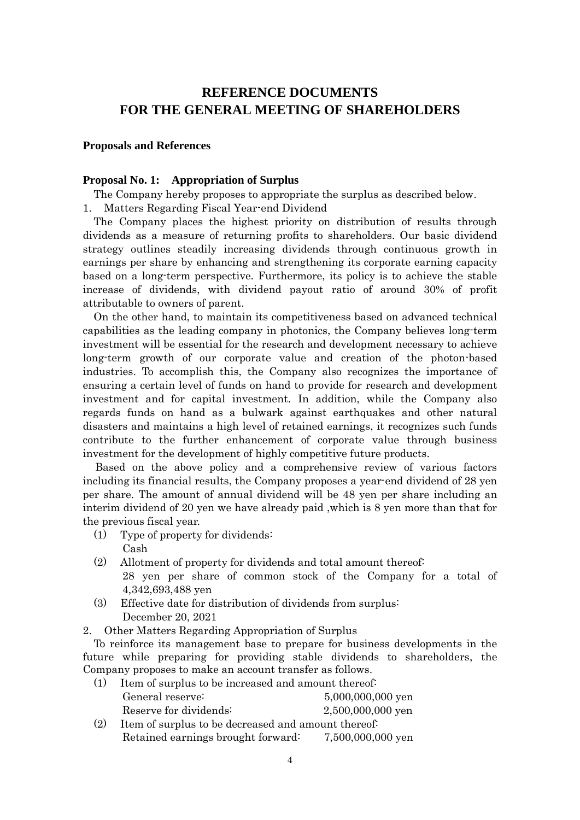# **REFERENCE DOCUMENTS FOR THE GENERAL MEETING OF SHAREHOLDERS**

#### **Proposals and References**

#### **Proposal No. 1: Appropriation of Surplus**

The Company hereby proposes to appropriate the surplus as described below.

1. Matters Regarding Fiscal Year-end Dividend

The Company places the highest priority on distribution of results through dividends as a measure of returning profits to shareholders. Our basic dividend strategy outlines steadily increasing dividends through continuous growth in earnings per share by enhancing and strengthening its corporate earning capacity based on a long-term perspective. Furthermore, its policy is to achieve the stable increase of dividends, with dividend payout ratio of around 30% of profit attributable to owners of parent.

On the other hand, to maintain its competitiveness based on advanced technical capabilities as the leading company in photonics, the Company believes long-term investment will be essential for the research and development necessary to achieve long-term growth of our corporate value and creation of the photon-based industries. To accomplish this, the Company also recognizes the importance of ensuring a certain level of funds on hand to provide for research and development investment and for capital investment. In addition, while the Company also regards funds on hand as a bulwark against earthquakes and other natural disasters and maintains a high level of retained earnings, it recognizes such funds contribute to the further enhancement of corporate value through business investment for the development of highly competitive future products.

Based on the above policy and a comprehensive review of various factors including its financial results, the Company proposes a year-end dividend of 28 yen per share. The amount of annual dividend will be 48 yen per share including an interim dividend of 20 yen we have already paid ,which is 8 yen more than that for the previous fiscal year.

- (1) Type of property for dividends: Cash
- (2) Allotment of property for dividends and total amount thereof: 28 yen per share of common stock of the Company for a total of 4,342,693,488 yen
- (3) Effective date for distribution of dividends from surplus: December 20, 2021
- 2. Other Matters Regarding Appropriation of Surplus

To reinforce its management base to prepare for business developments in the future while preparing for providing stable dividends to shareholders, the Company proposes to make an account transfer as follows.

| (1) | Item of surplus to be increased and amount thereof. |                   |  |
|-----|-----------------------------------------------------|-------------------|--|
|     | General reserve:                                    | 5,000,000,000 yen |  |
|     | Reserve for dividends:                              | 2,500,000,000 yen |  |
| (2) | Item of surplus to be decreased and amount thereof: |                   |  |
|     | Retained earnings brought forward:                  | 7,500,000,000 yen |  |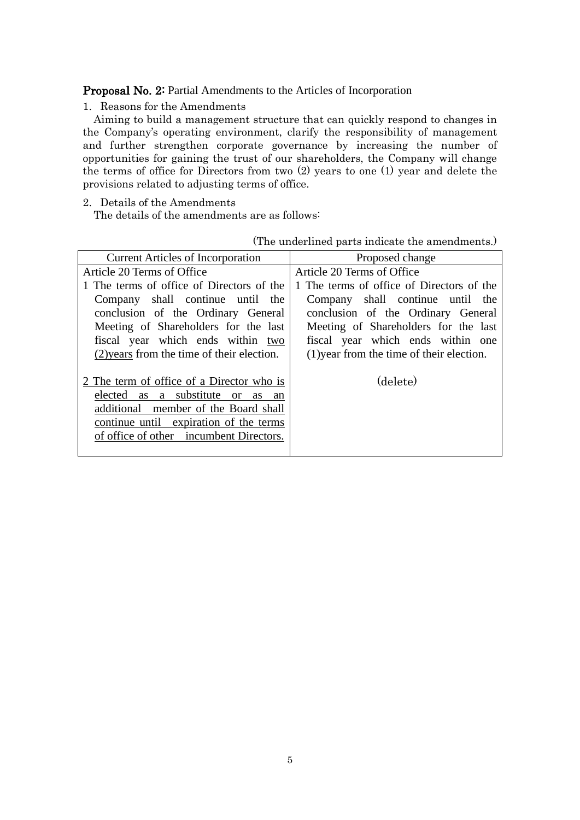Proposal No. 2: Partial Amendments to the Articles of Incorporation

1. Reasons for the Amendments

Aiming to build a management structure that can quickly respond to changes in the Company's operating environment, clarify the responsibility of management and further strengthen corporate governance by increasing the number of opportunities for gaining the trust of our shareholders, the Company will change the terms of office for Directors from two (2) years to one (1) year and delete the provisions related to adjusting terms of office.

2. Details of the Amendments

The details of the amendments are as follows:

(The underlined parts indicate the amendments.)

| <b>Current Articles of Incorporation</b>   | Proposed change                           |  |  |
|--------------------------------------------|-------------------------------------------|--|--|
| Article 20 Terms of Office                 | Article 20 Terms of Office                |  |  |
| 1 The terms of office of Directors of the  | 1 The terms of office of Directors of the |  |  |
| Company shall continue until the           | Company shall continue until the          |  |  |
| conclusion of the Ordinary General         | conclusion of the Ordinary General        |  |  |
| Meeting of Shareholders for the last       | Meeting of Shareholders for the last      |  |  |
| fiscal year which ends within two          | fiscal year which ends within one         |  |  |
| (2) years from the time of their election. | (1) year from the time of their election. |  |  |
|                                            |                                           |  |  |
| 2 The term of office of a Director who is  | (delete)                                  |  |  |
| elected as a substitute or<br>as an        |                                           |  |  |
| additional member of the Board shall       |                                           |  |  |
| continue until expiration of the terms     |                                           |  |  |
| of office of other incumbent Directors.    |                                           |  |  |
|                                            |                                           |  |  |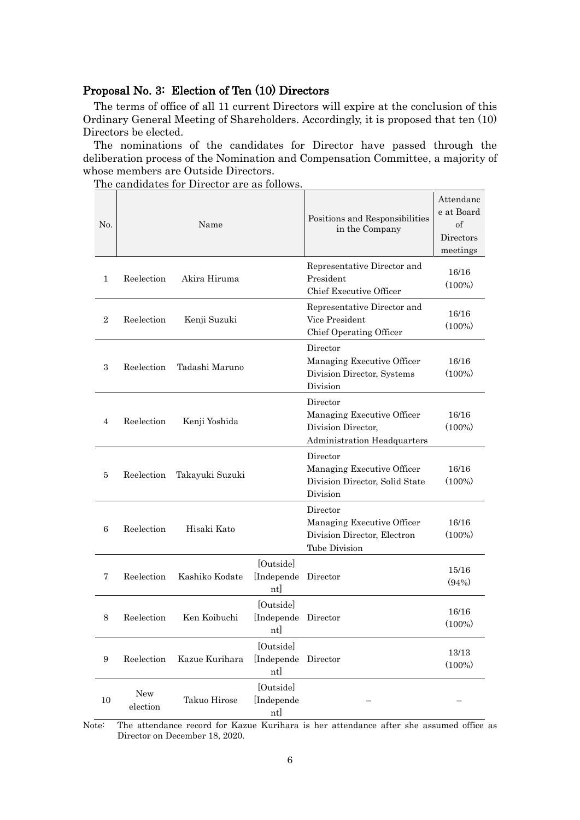### Proposal No. 3: Election of Ten (10) Directors

The terms of office of all 11 current Directors will expire at the conclusion of this Ordinary General Meeting of Shareholders. Accordingly, it is proposed that ten (10) Directors be elected.

The nominations of the candidates for Director have passed through the deliberation process of the Nomination and Compensation Committee, a majority of whose members are Outside Directors.

No. Name Positions and Responsibilities in the Company Attendanc e at Board of **Directors** meetings 1 Reelection Akira Hiruma Representative Director and President Chief Executive Officer 16/16 (100%) 2 Reelection Kenii Suzuki Representative Director and Vice President Chief Operating Officer 16/16 (100%) 3 Reelection Tadashi Maruno Director Managing Executive Officer Division Director, Systems Division 16/16 (100%) 4 Reelection Kenji Yoshida Director Managing Executive Officer Division Director, Administration Headquarters 16/16 (100%) 5 Reelection Takayuki Suzuki Director Managing Executive Officer Division Director, Solid State Division 16/16 (100%) 6 Reelection Hisaki Kato Director Managing Executive Officer Division Director, Electron Tube Division 16/16 (100%) 7 Reelection Kashiko Kodate [Outside] [Independe nt] Director  $\frac{15/16}{(1000)}$  $(94% )$ 8 Reelection Ken Koibuchi [Outside] [Independe Director 16/16 nt] (100%) 9 Reelection Kazue Kurihara [Outside] [Independe Director 13/13 nt] (100%) 10 New election Takuo Hirose [Outside] [Independe nt] – –

The candidates for Director are as follows.

Note: The attendance record for Kazue Kurihara is her attendance after she assumed office as Director on December 18, 2020.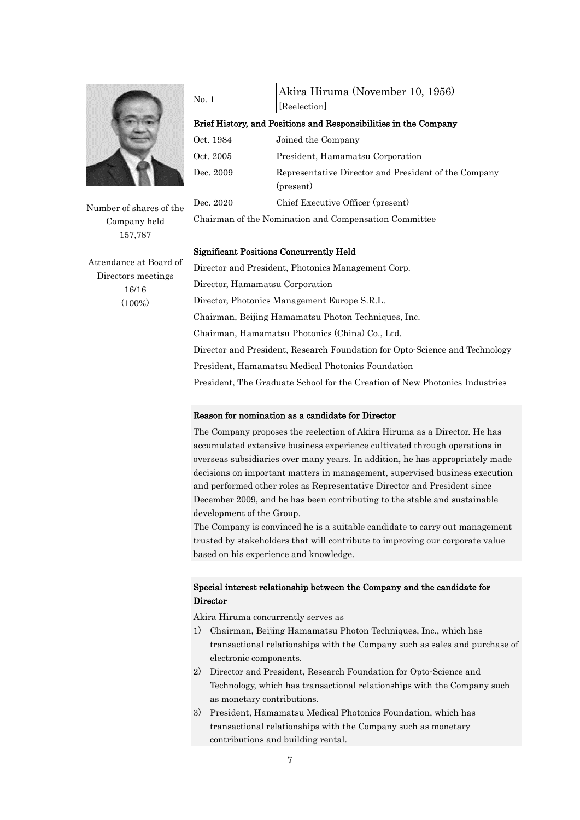

Number of shares of the Company held 157,787

Attendance at Board of Directors meetings 16/16 (100%)

| No. 1     | Akira Hiruma (November 10, 1956)                                  |  |  |  |
|-----------|-------------------------------------------------------------------|--|--|--|
|           | [Reelection]                                                      |  |  |  |
|           | Brief History, and Positions and Responsibilities in the Company  |  |  |  |
| Oct. 1984 | Joined the Company                                                |  |  |  |
| Oct. 2005 | President, Hamamatsu Corporation                                  |  |  |  |
| Dec. 2009 | Representative Director and President of the Company<br>(present) |  |  |  |
| Dec. 2020 | Chief Executive Officer (present)                                 |  |  |  |
|           |                                                                   |  |  |  |

Chairman of the Nomination and Compensation Committee

#### Significant Positions Concurrently Held

Director and President, Photonics Management Corp. Director, Hamamatsu Corporation Director, Photonics Management Europe S.R.L. Chairman, Beijing Hamamatsu Photon Techniques, Inc. Chairman, Hamamatsu Photonics (China) Co., Ltd. Director and President, Research Foundation for Opto-Science and Technology President, Hamamatsu Medical Photonics Foundation President, The Graduate School for the Creation of New Photonics Industries

#### Reason for nomination as a candidate for Director

The Company proposes the reelection of Akira Hiruma as a Director. He has accumulated extensive business experience cultivated through operations in overseas subsidiaries over many years. In addition, he has appropriately made decisions on important matters in management, supervised business execution and performed other roles as Representative Director and President since December 2009, and he has been contributing to the stable and sustainable development of the Group.

The Company is convinced he is a suitable candidate to carry out management trusted by stakeholders that will contribute to improving our corporate value based on his experience and knowledge.

### Special interest relationship between the Company and the candidate for **Director**

Akira Hiruma concurrently serves as

- 1) Chairman, Beijing Hamamatsu Photon Techniques, Inc., which has transactional relationships with the Company such as sales and purchase of electronic components.
- 2) Director and President, Research Foundation for Opto-Science and Technology, which has transactional relationships with the Company such as monetary contributions.
- 3) President, Hamamatsu Medical Photonics Foundation, which has transactional relationships with the Company such as monetary contributions and building rental.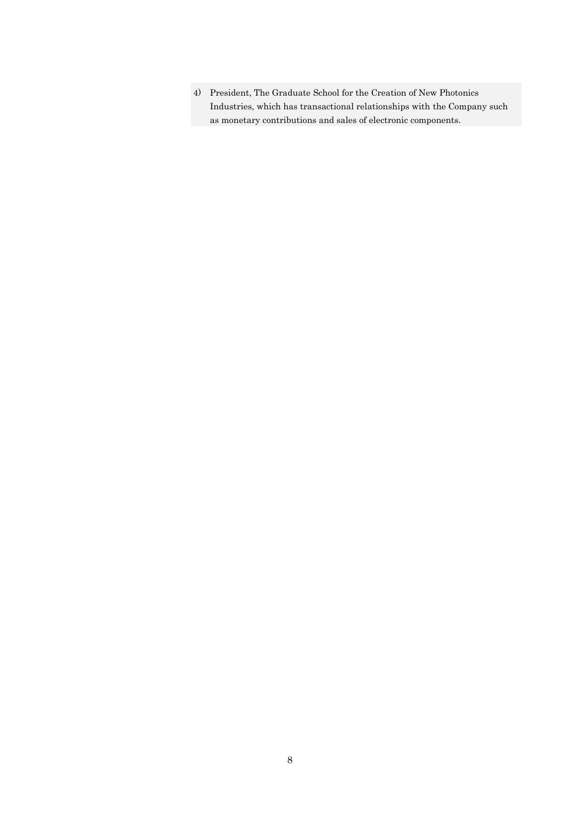4) President, The Graduate School for the Creation of New Photonics Industries, which has transactional relationships with the Company such as monetary contributions and sales of electronic components.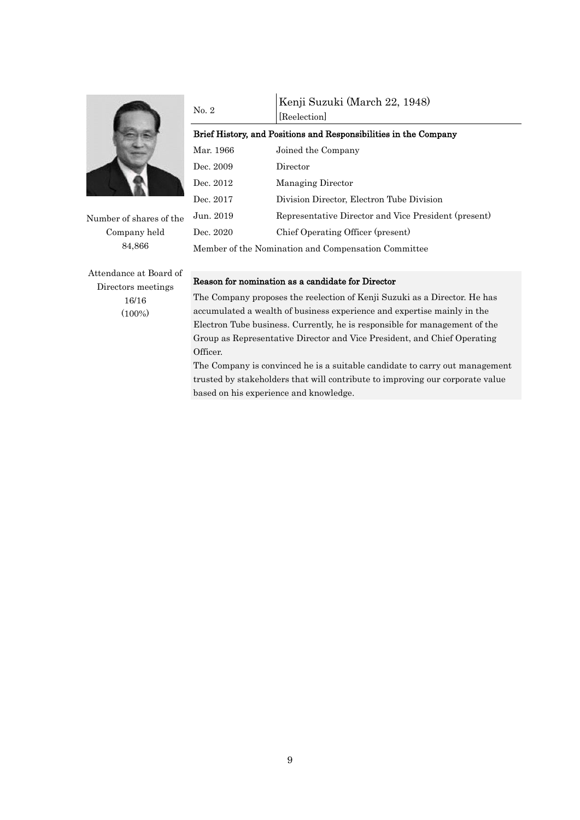

Number of shares of the Company held 84,866

Attendance at Board of Directors meetings 16/16 (100%)

# No. 2 Kenji Suzuki (March 22, 1948) [Reelection] Brief History, and Positions and Responsibilities in the Company Mar. 1966 Joined the Company Dec. 2009 Director Dec. 2012 Managing Director Dec. 2017 Division Director, Electron Tube Division Jun. 2019 Representative Director and Vice President (present) Dec. 2020 Chief Operating Officer (present) Member of the Nomination and Compensation Committee

#### Reason for nomination as a candidate for Director

The Company proposes the reelection of Kenji Suzuki as a Director. He has accumulated a wealth of business experience and expertise mainly in the Electron Tube business. Currently, he is responsible for management of the Group as Representative Director and Vice President, and Chief Operating Officer.

The Company is convinced he is a suitable candidate to carry out management trusted by stakeholders that will contribute to improving our corporate value based on his experience and knowledge.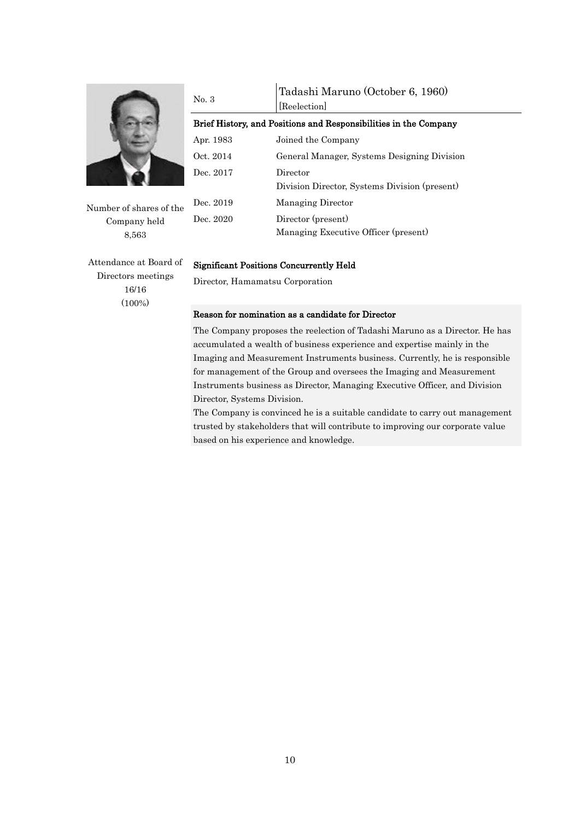

Number of shares of the Company held 8,563

No. 3 Tadashi Maruno (October 6, 1960) [Reelection] Brief History, and Positions and Responsibilities in the Company Apr. 1983 Joined the Company Oct. 2014 General Manager, Systems Designing Division Dec. 2017 Director Division Director, Systems Division (present) Dec. 2019 Managing Director Dec. 2020 Director (present) Managing Executive Officer (present)

Attendance at Board of Directors meetings 16/16 (100%)

#### Significant Positions Concurrently Held

Director, Hamamatsu Corporation

#### Reason for nomination as a candidate for Director

The Company proposes the reelection of Tadashi Maruno as a Director. He has accumulated a wealth of business experience and expertise mainly in the Imaging and Measurement Instruments business. Currently, he is responsible for management of the Group and oversees the Imaging and Measurement Instruments business as Director, Managing Executive Officer, and Division Director, Systems Division.

The Company is convinced he is a suitable candidate to carry out management trusted by stakeholders that will contribute to improving our corporate value based on his experience and knowledge.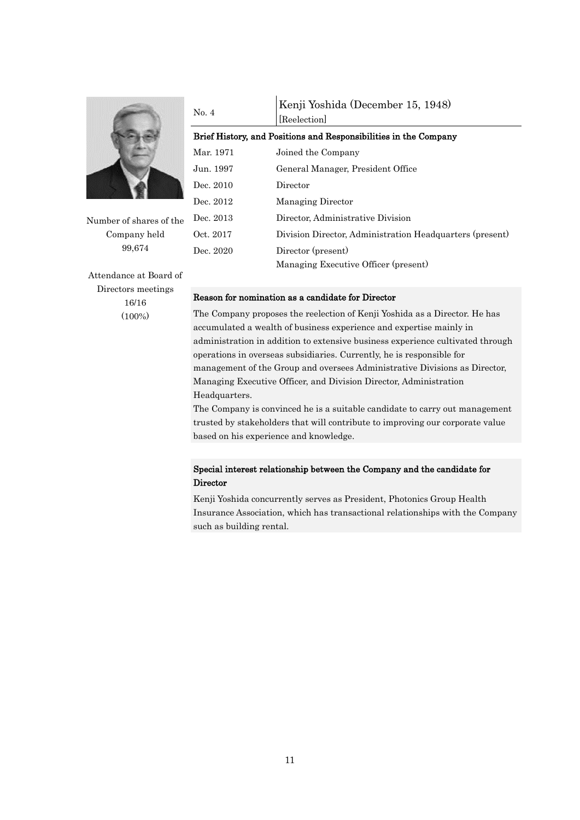

Number of shares of the Company held 99,674

Attendance at Board of Directors meetings 16/16 (100%)

#### No. 4 Kenji Yoshida (December 15, 1948) [Reelection]

Brief History, and Positions and Responsibilities in the Company Mar. 1971 Joined the Company Jun. 1997 General Manager, President Office Dec. 2010 Director Dec. 2012 Managing Director Dec. 2013 Director, Administrative Division Oct. 2017 Division Director, Administration Headquarters (present) Dec. 2020 Director (present) Managing Executive Officer (present)

#### Reason for nomination as a candidate for Director

The Company proposes the reelection of Kenji Yoshida as a Director. He has accumulated a wealth of business experience and expertise mainly in administration in addition to extensive business experience cultivated through operations in overseas subsidiaries. Currently, he is responsible for management of the Group and oversees Administrative Divisions as Director, Managing Executive Officer, and Division Director, Administration Headquarters.

The Company is convinced he is a suitable candidate to carry out management trusted by stakeholders that will contribute to improving our corporate value based on his experience and knowledge.

### Special interest relationship between the Company and the candidate for **Director**

Kenji Yoshida concurrently serves as President, Photonics Group Health Insurance Association, which has transactional relationships with the Company such as building rental.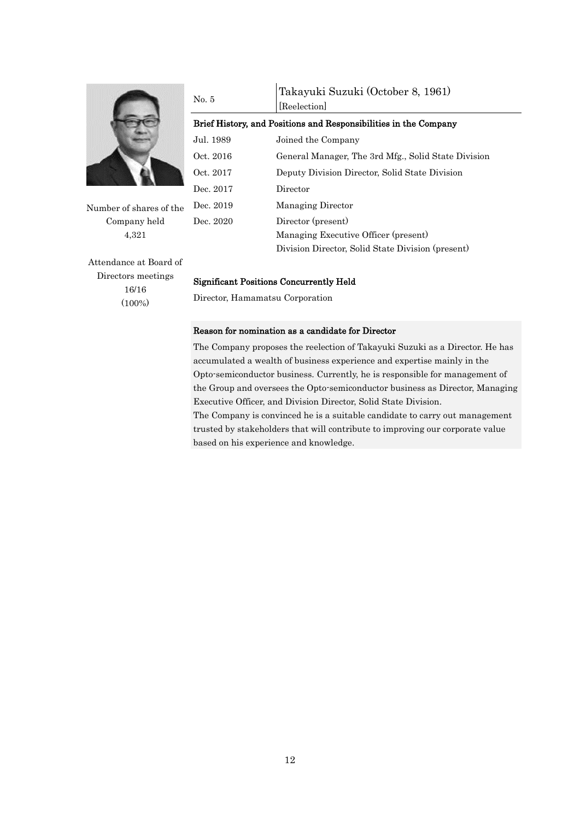

Number of shares of the Company held 4,321

| No. 5                                                            | Takayuki Suzuki (October 8, 1961)<br>[Reelection]   |  |  |  |
|------------------------------------------------------------------|-----------------------------------------------------|--|--|--|
| Brief History, and Positions and Responsibilities in the Company |                                                     |  |  |  |
| Jul. 1989                                                        | Joined the Company                                  |  |  |  |
| Oct. 2016                                                        | General Manager, The 3rd Mfg., Solid State Division |  |  |  |
| Oct. 2017                                                        | Deputy Division Director, Solid State Division      |  |  |  |
| Dec. 2017                                                        | Director                                            |  |  |  |
| Dec. 2019                                                        | Managing Director                                   |  |  |  |
| Dec. 2020                                                        | Director (present)                                  |  |  |  |
|                                                                  | Managing Executive Officer (present)                |  |  |  |
|                                                                  | Division Director, Solid State Division (present)   |  |  |  |

Attendance at Board of Directors meetings 16/16 (100%)

#### Significant Positions Concurrently Held

Director, Hamamatsu Corporation

#### Reason for nomination as a candidate for Director

The Company proposes the reelection of Takayuki Suzuki as a Director. He has accumulated a wealth of business experience and expertise mainly in the Opto-semiconductor business. Currently, he is responsible for management of the Group and oversees the Opto-semiconductor business as Director, Managing Executive Officer, and Division Director, Solid State Division. The Company is convinced he is a suitable candidate to carry out management

trusted by stakeholders that will contribute to improving our corporate value based on his experience and knowledge.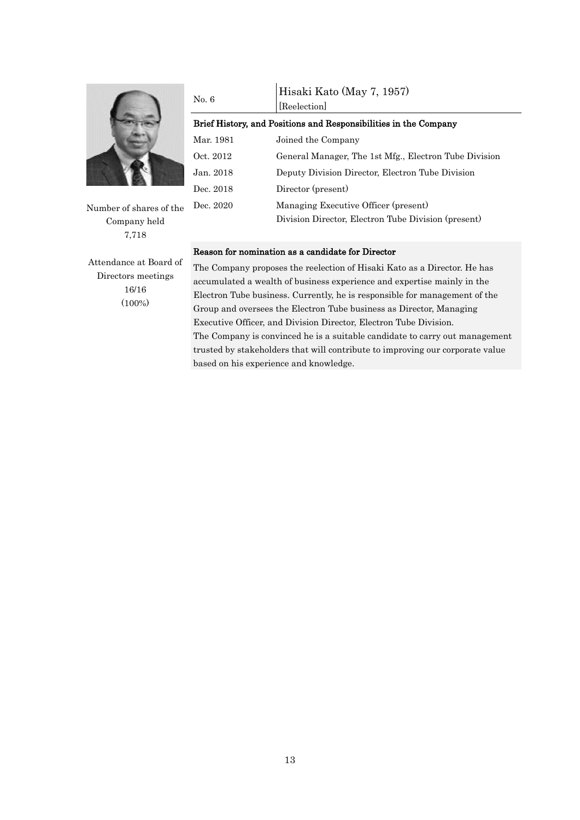

Number of shares of the Company held 7,718

Attendance at Board of Directors meetings 16/16 (100%)

| No. 6                                                            | Hisaki Kato (May 7, 1957)<br>[Reelection]             |  |  |  |  |
|------------------------------------------------------------------|-------------------------------------------------------|--|--|--|--|
| Brief History, and Positions and Responsibilities in the Company |                                                       |  |  |  |  |
| Mar. 1981                                                        | Joined the Company                                    |  |  |  |  |
| Oct. 2012                                                        | General Manager, The 1st Mfg., Electron Tube Division |  |  |  |  |
| Jan. 2018                                                        | Deputy Division Director, Electron Tube Division      |  |  |  |  |
| Dec. 2018                                                        | Director (present)                                    |  |  |  |  |
| Dec. 2020                                                        | Managing Executive Officer (present)                  |  |  |  |  |
|                                                                  | Division Director, Electron Tube Division (present)   |  |  |  |  |

#### Reason for nomination as a candidate for Director

The Company proposes the reelection of Hisaki Kato as a Director. He has accumulated a wealth of business experience and expertise mainly in the Electron Tube business. Currently, he is responsible for management of the Group and oversees the Electron Tube business as Director, Managing Executive Officer, and Division Director, Electron Tube Division. The Company is convinced he is a suitable candidate to carry out management trusted by stakeholders that will contribute to improving our corporate value based on his experience and knowledge.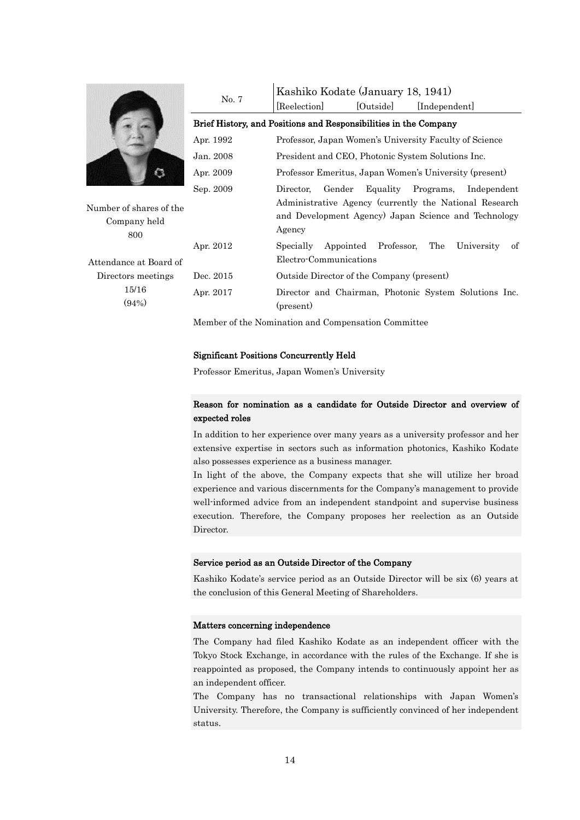

Number of shares of the Company held 800

Attendance at Board of Directors meetings 15/16 (94%)

|                                                                  | Kashiko Kodate (January 18, 1941)                                                                                                                                                    |           |                                                       |  |
|------------------------------------------------------------------|--------------------------------------------------------------------------------------------------------------------------------------------------------------------------------------|-----------|-------------------------------------------------------|--|
| No. 7                                                            | [Reelection]                                                                                                                                                                         | [Outside] | [Independent]                                         |  |
| Brief History, and Positions and Responsibilities in the Company |                                                                                                                                                                                      |           |                                                       |  |
| Apr. 1992                                                        | Professor, Japan Women's University Faculty of Science                                                                                                                               |           |                                                       |  |
| Jan. 2008                                                        | President and CEO, Photonic System Solutions Inc.                                                                                                                                    |           |                                                       |  |
| Apr. 2009                                                        | Professor Emeritus, Japan Women's University (present)                                                                                                                               |           |                                                       |  |
| Sep. 2009                                                        | Gender<br>Equality Programs,<br>Independent<br>Director.<br>Administrative Agency (currently the National Research<br>and Development Agency) Japan Science and Technology<br>Agency |           |                                                       |  |
| Apr. 2012                                                        | Specially Appointed Professor, The<br>Electro-Communications                                                                                                                         |           | University<br>οf                                      |  |
| Dec. 2015                                                        | Outside Director of the Company (present)                                                                                                                                            |           |                                                       |  |
| Apr. 2017                                                        | (present)                                                                                                                                                                            |           | Director and Chairman, Photonic System Solutions Inc. |  |

Member of the Nomination and Compensation Committee

#### Significant Positions Concurrently Held

Professor Emeritus, Japan Women's University

### Reason for nomination as a candidate for Outside Director and overview of expected roles

In addition to her experience over many years as a university professor and her extensive expertise in sectors such as information photonics, Kashiko Kodate also possesses experience as a business manager.

In light of the above, the Company expects that she will utilize her broad experience and various discernments for the Company's management to provide well-informed advice from an independent standpoint and supervise business execution. Therefore, the Company proposes her reelection as an Outside Director.

#### Service period as an Outside Director of the Company

Kashiko Kodate's service period as an Outside Director will be six (6) years at the conclusion of this General Meeting of Shareholders.

#### Matters concerning independence

The Company had filed Kashiko Kodate as an independent officer with the Tokyo Stock Exchange, in accordance with the rules of the Exchange. If she is reappointed as proposed, the Company intends to continuously appoint her as an independent officer.

The Company has no transactional relationships with Japan Women's University. Therefore, the Company is sufficiently convinced of her independent status.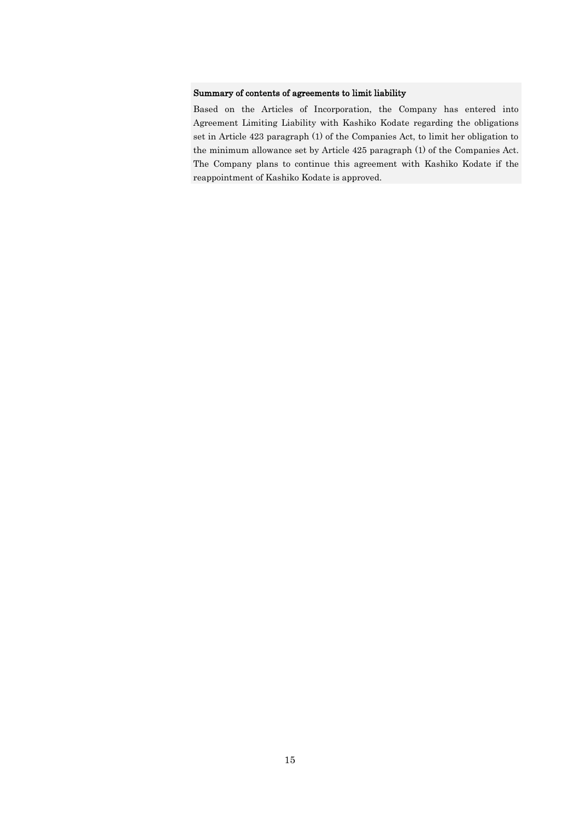#### Summary of contents of agreements to limit liability

Based on the Articles of Incorporation, the Company has entered into Agreement Limiting Liability with Kashiko Kodate regarding the obligations set in Article 423 paragraph (1) of the Companies Act, to limit her obligation to the minimum allowance set by Article 425 paragraph (1) of the Companies Act. The Company plans to continue this agreement with Kashiko Kodate if the reappointment of Kashiko Kodate is approved.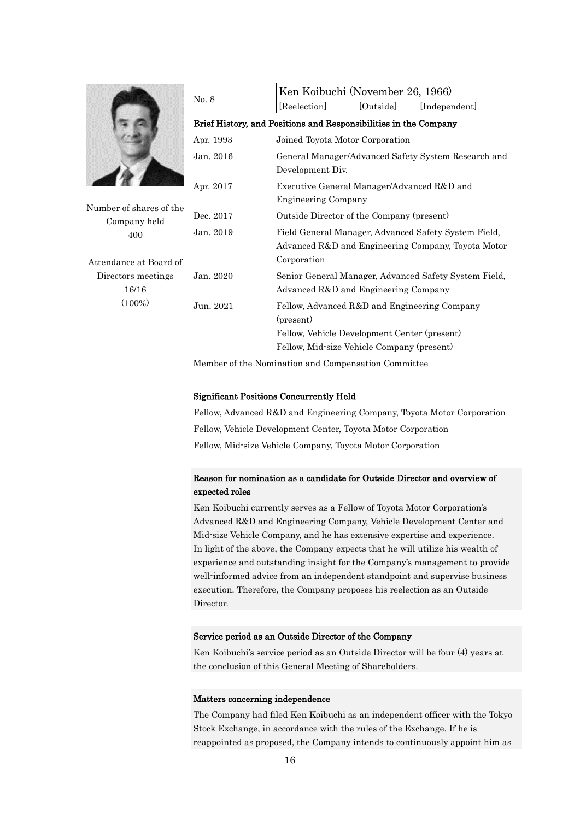

Number of shares of the Company held 400

Attendance at Board of Directors meetings 16/16 (100%)

|  | No. 8     | Ken Koibuchi (November 26, 1966)                                                                                          |           |                                                       |  |  |  |
|--|-----------|---------------------------------------------------------------------------------------------------------------------------|-----------|-------------------------------------------------------|--|--|--|
|  |           | [Reelection]                                                                                                              | [Outside] | [Independent]                                         |  |  |  |
|  |           | Brief History, and Positions and Responsibilities in the Company<br>Joined Toyota Motor Corporation                       |           |                                                       |  |  |  |
|  | Apr. 1993 |                                                                                                                           |           |                                                       |  |  |  |
|  | Jan. 2016 | General Manager/Advanced Safety System Research and<br>Development Div.                                                   |           |                                                       |  |  |  |
|  | Apr. 2017 | Executive General Manager/Advanced R&D and<br><b>Engineering Company</b>                                                  |           |                                                       |  |  |  |
|  | Dec. 2017 | Outside Director of the Company (present)                                                                                 |           |                                                       |  |  |  |
|  | Jan. 2019 | Field General Manager, Advanced Safety System Field,<br>Advanced R&D and Engineering Company, Toyota Motor<br>Corporation |           |                                                       |  |  |  |
|  | Jan. 2020 | Advanced R&D and Engineering Company                                                                                      |           | Senior General Manager, Advanced Safety System Field, |  |  |  |
|  | Jun. 2021 | Fellow, Advanced R&D and Engineering Company<br>(present)                                                                 |           |                                                       |  |  |  |
|  |           | Fellow, Vehicle Development Center (present)                                                                              |           |                                                       |  |  |  |
|  |           | Fellow, Mid-size Vehicle Company (present)                                                                                |           |                                                       |  |  |  |

Member of the Nomination and Compensation Committee

#### Significant Positions Concurrently Held

Fellow, Advanced R&D and Engineering Company, Toyota Motor Corporation Fellow, Vehicle Development Center, Toyota Motor Corporation Fellow, Mid-size Vehicle Company, Toyota Motor Corporation

#### Reason for nomination as a candidate for Outside Director and overview of expected roles

Ken Koibuchi currently serves as a Fellow of Toyota Motor Corporation's Advanced R&D and Engineering Company, Vehicle Development Center and Mid-size Vehicle Company, and he has extensive expertise and experience. In light of the above, the Company expects that he will utilize his wealth of experience and outstanding insight for the Company's management to provide well-informed advice from an independent standpoint and supervise business execution. Therefore, the Company proposes his reelection as an Outside Director.

#### Service period as an Outside Director of the Company

Ken Koibuchi's service period as an Outside Director will be four (4) years at the conclusion of this General Meeting of Shareholders.

#### Matters concerning independence

The Company had filed Ken Koibuchi as an independent officer with the Tokyo Stock Exchange, in accordance with the rules of the Exchange. If he is reappointed as proposed, the Company intends to continuously appoint him as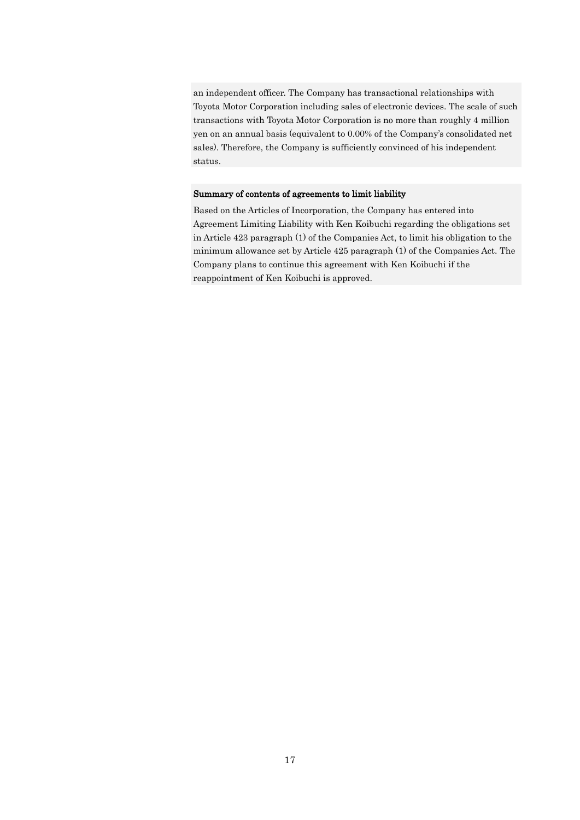an independent officer. The Company has transactional relationships with Toyota Motor Corporation including sales of electronic devices. The scale of such transactions with Toyota Motor Corporation is no more than roughly 4 million yen on an annual basis (equivalent to 0.00% of the Company's consolidated net sales). Therefore, the Company is sufficiently convinced of his independent status.

#### Summary of contents of agreements to limit liability

Based on the Articles of Incorporation, the Company has entered into Agreement Limiting Liability with Ken Koibuchi regarding the obligations set in Article 423 paragraph (1) of the Companies Act, to limit his obligation to the minimum allowance set by Article 425 paragraph (1) of the Companies Act. The Company plans to continue this agreement with Ken Koibuchi if the reappointment of Ken Koibuchi is approved.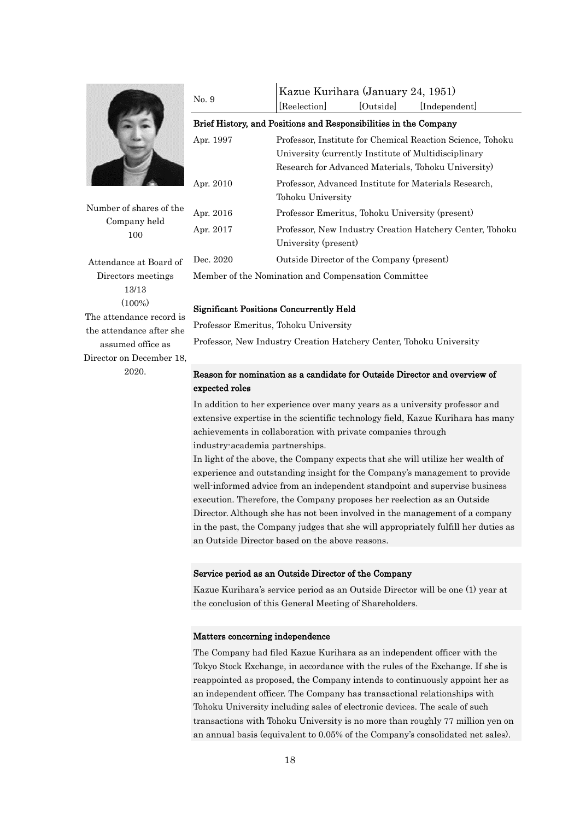

Number of shares of the Company held 100

Attendance at Board of Directors meetings 13/13  $(100\%)$ The attendance record is the attendance after she assumed office as Director on December 18, 2020.

| No. 9                                                            | Kazue Kurihara (January 24, 1951)                          |           |                                                          |  |  |
|------------------------------------------------------------------|------------------------------------------------------------|-----------|----------------------------------------------------------|--|--|
|                                                                  | [Reelection]                                               | [Outside] | [Independent]                                            |  |  |
| Brief History, and Positions and Responsibilities in the Company |                                                            |           |                                                          |  |  |
| Apr. 1997                                                        | Professor, Institute for Chemical Reaction Science, Tohoku |           |                                                          |  |  |
|                                                                  | University (currently Institute of Multidisciplinary       |           |                                                          |  |  |
|                                                                  | Research for Advanced Materials, Tohoku University)        |           |                                                          |  |  |
| Apr. 2010                                                        | Professor, Advanced Institute for Materials Research,      |           |                                                          |  |  |
|                                                                  | Tohoku University                                          |           |                                                          |  |  |
| Apr. 2016                                                        | Professor Emeritus, Tohoku University (present)            |           |                                                          |  |  |
| Apr. 2017                                                        |                                                            |           | Professor, New Industry Creation Hatchery Center, Tohoku |  |  |
|                                                                  | University (present)                                       |           |                                                          |  |  |
| Dec. 2020                                                        | Outside Director of the Company (present)                  |           |                                                          |  |  |
| Member of the Nomination and Compensation Committee              |                                                            |           |                                                          |  |  |

#### Significant Positions Concurrently Held

Professor Emeritus, Tohoku University

Professor, New Industry Creation Hatchery Center, Tohoku University

### Reason for nomination as a candidate for Outside Director and overview of expected roles

In addition to her experience over many years as a university professor and extensive expertise in the scientific technology field, Kazue Kurihara has many achievements in collaboration with private companies through industry-academia partnerships.

In light of the above, the Company expects that she will utilize her wealth of experience and outstanding insight for the Company's management to provide well-informed advice from an independent standpoint and supervise business execution. Therefore, the Company proposes her reelection as an Outside Director. Although she has not been involved in the management of a company in the past, the Company judges that she will appropriately fulfill her duties as an Outside Director based on the above reasons.

#### Service period as an Outside Director of the Company

Kazue Kurihara's service period as an Outside Director will be one (1) year at the conclusion of this General Meeting of Shareholders.

#### Matters concerning independence

The Company had filed Kazue Kurihara as an independent officer with the Tokyo Stock Exchange, in accordance with the rules of the Exchange. If she is reappointed as proposed, the Company intends to continuously appoint her as an independent officer. The Company has transactional relationships with Tohoku University including sales of electronic devices. The scale of such transactions with Tohoku University is no more than roughly 77 million yen on an annual basis (equivalent to 0.05% of the Company's consolidated net sales).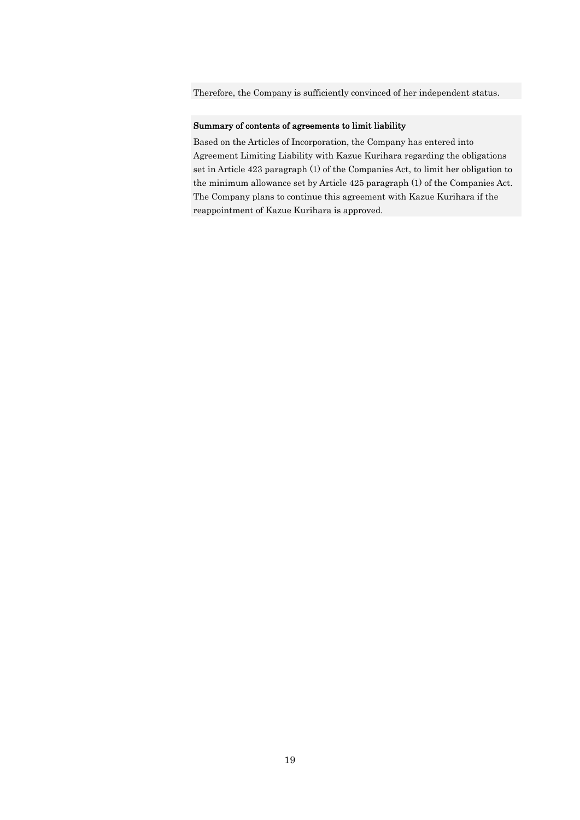Therefore, the Company is sufficiently convinced of her independent status.

#### Summary of contents of agreements to limit liability

Based on the Articles of Incorporation, the Company has entered into Agreement Limiting Liability with Kazue Kurihara regarding the obligations set in Article 423 paragraph (1) of the Companies Act, to limit her obligation to the minimum allowance set by Article 425 paragraph (1) of the Companies Act. The Company plans to continue this agreement with Kazue Kurihara if the reappointment of Kazue Kurihara is approved.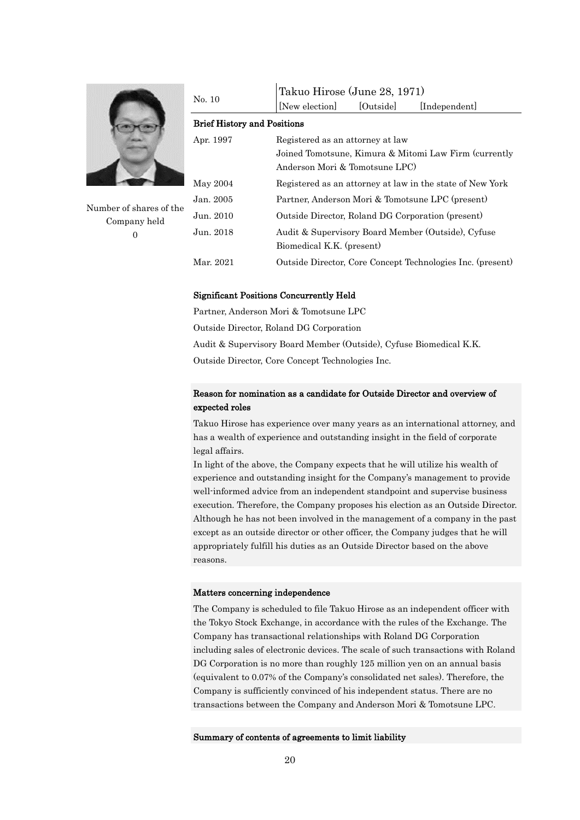

Number of shares of the Company held  $\Omega$ 

| No. 10                             | Takuo Hirose (June 28, 1971)                               |  |  |  |  |
|------------------------------------|------------------------------------------------------------|--|--|--|--|
|                                    | [Outside]<br>[New election]<br>[Independent]               |  |  |  |  |
| <b>Brief History and Positions</b> |                                                            |  |  |  |  |
| Apr. 1997                          | Registered as an attorney at law                           |  |  |  |  |
|                                    | Joined Tomotsune, Kimura & Mitomi Law Firm (currently      |  |  |  |  |
|                                    | Anderson Mori & Tomotsune LPC)                             |  |  |  |  |
| May 2004                           | Registered as an attorney at law in the state of New York  |  |  |  |  |
| Jan. 2005                          | Partner, Anderson Mori & Tomotsune LPC (present)           |  |  |  |  |
| Jun. 2010                          | Outside Director, Roland DG Corporation (present)          |  |  |  |  |
| Jun. 2018                          | Audit & Supervisory Board Member (Outside), Cyfuse         |  |  |  |  |
|                                    | Biomedical K.K. (present)                                  |  |  |  |  |
| Mar. 2021                          | Outside Director, Core Concept Technologies Inc. (present) |  |  |  |  |

#### Significant Positions Concurrently Held

Partner, Anderson Mori & Tomotsune LPC Outside Director, Roland DG Corporation Audit & Supervisory Board Member (Outside), Cyfuse Biomedical K.K. Outside Director, Core Concept Technologies Inc.

#### Reason for nomination as a candidate for Outside Director and overview of expected roles

Takuo Hirose has experience over many years as an international attorney, and has a wealth of experience and outstanding insight in the field of corporate legal affairs.

In light of the above, the Company expects that he will utilize his wealth of experience and outstanding insight for the Company's management to provide well-informed advice from an independent standpoint and supervise business execution. Therefore, the Company proposes his election as an Outside Director. Although he has not been involved in the management of a company in the past except as an outside director or other officer, the Company judges that he will appropriately fulfill his duties as an Outside Director based on the above reasons.

#### Matters concerning independence

The Company is scheduled to file Takuo Hirose as an independent officer with the Tokyo Stock Exchange, in accordance with the rules of the Exchange. The Company has transactional relationships with Roland DG Corporation including sales of electronic devices. The scale of such transactions with Roland DG Corporation is no more than roughly 125 million yen on an annual basis (equivalent to 0.07% of the Company's consolidated net sales). Therefore, the Company is sufficiently convinced of his independent status. There are no transactions between the Company and Anderson Mori & Tomotsune LPC.

#### Summary of contents of agreements to limit liability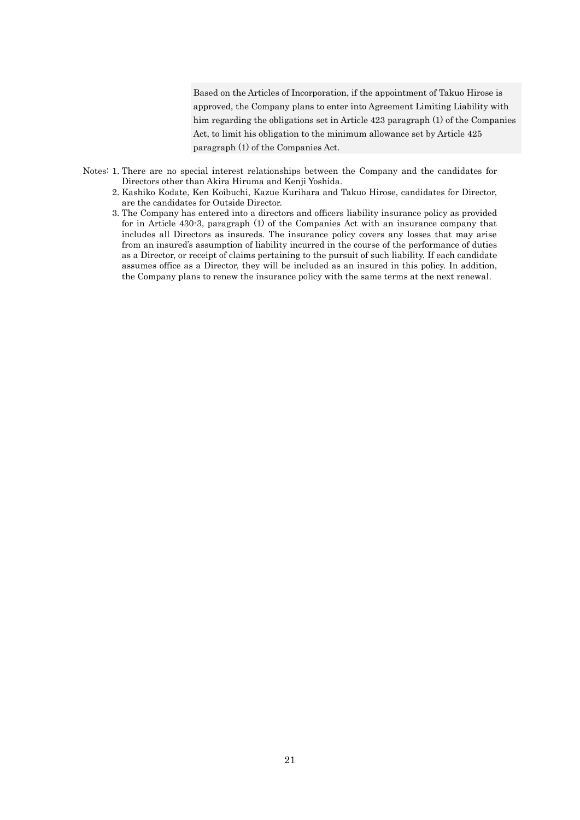Based on the Articles of Incorporation, if the appointment of Takuo Hirose is approved, the Company plans to enter into Agreement Limiting Liability with him regarding the obligations set in Article 423 paragraph (1) of the Companies Act, to limit his obligation to the minimum allowance set by Article 425 paragraph (1) of the Companies Act.

- Notes: 1. There are no special interest relationships between the Company and the candidates for Directors other than Akira Hiruma and Kenji Yoshida.
	- 2. Kashiko Kodate, Ken Koibuchi, Kazue Kurihara and Takuo Hirose, candidates for Director, are the candidates for Outside Director.
	- 3. The Company has entered into a directors and officers liability insurance policy as provided for in Article 430-3, paragraph (1) of the Companies Act with an insurance company that includes all Directors as insureds. The insurance policy covers any losses that may arise from an insured's assumption of liability incurred in the course of the performance of duties as a Director, or receipt of claims pertaining to the pursuit of such liability. If each candidate assumes office as a Director, they will be included as an insured in this policy. In addition, the Company plans to renew the insurance policy with the same terms at the next renewal.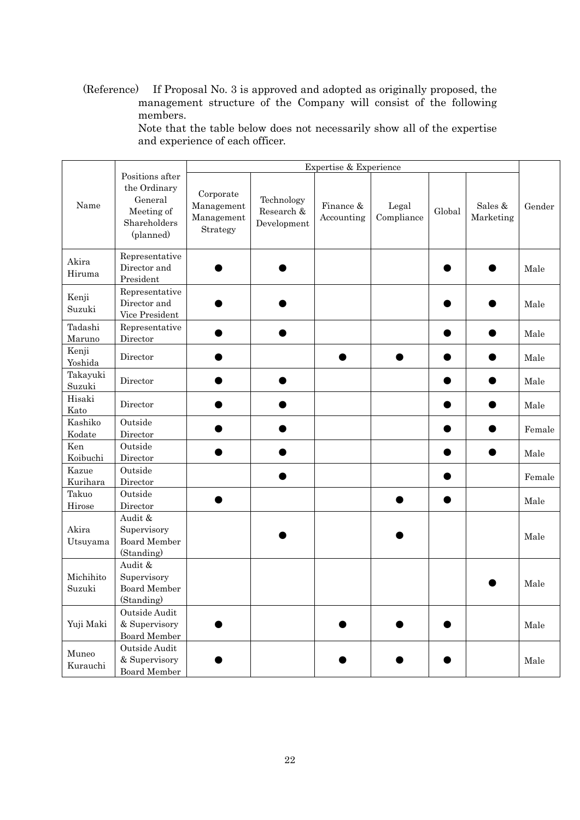(Reference) If Proposal No. 3 is approved and adopted as originally proposed, the management structure of the Company will consist of the following members.

Note that the table below does not necessarily show all of the expertise and experience of each officer.

|                     |                                                                                       | Expertise & Experience                            |                                         |                         |                     |        |                      |        |
|---------------------|---------------------------------------------------------------------------------------|---------------------------------------------------|-----------------------------------------|-------------------------|---------------------|--------|----------------------|--------|
| Name                | Positions after<br>the Ordinary<br>General<br>Meeting of<br>Shareholders<br>(planned) | Corporate<br>Management<br>Management<br>Strategy | Technology<br>Research &<br>Development | Finance &<br>Accounting | Legal<br>Compliance | Global | Sales &<br>Marketing | Gender |
| Akira<br>Hiruma     | Representative<br>Director and<br>President                                           |                                                   |                                         |                         |                     |        |                      | Male   |
| Kenji<br>Suzuki     | Representative<br>Director and<br>Vice President                                      |                                                   |                                         |                         |                     |        |                      | Male   |
| Tadashi<br>Maruno   | Representative<br>Director                                                            |                                                   |                                         |                         |                     |        |                      | Male   |
| Kenji<br>Yoshida    | Director                                                                              |                                                   |                                         |                         |                     |        |                      | Male   |
| Takayuki<br>Suzuki  | Director                                                                              |                                                   |                                         |                         |                     |        |                      | Male   |
| Hisaki<br>Kato      | Director                                                                              |                                                   |                                         |                         |                     |        |                      | Male   |
| Kashiko<br>Kodate   | Outside<br>Director                                                                   |                                                   |                                         |                         |                     |        |                      | Female |
| Ken<br>Koibuchi     | Outside<br>Director                                                                   |                                                   |                                         |                         |                     |        |                      | Male   |
| Kazue<br>Kurihara   | Outside<br>Director                                                                   |                                                   |                                         |                         |                     |        |                      | Female |
| Takuo<br>Hirose     | Outside<br>Director                                                                   |                                                   |                                         |                         |                     |        |                      | Male   |
| Akira<br>Utsuyama   | Audit &<br>Supervisory<br><b>Board Member</b><br>(Standing)                           |                                                   |                                         |                         |                     |        |                      | Male   |
| Michihito<br>Suzuki | Audit &<br>Supervisory<br><b>Board Member</b><br>(Standing)                           |                                                   |                                         |                         |                     |        |                      | Male   |
| Yuji Maki           | Outside Audit<br>& Supervisory<br>Board Member                                        |                                                   |                                         |                         |                     |        |                      | Male   |
| Muneo<br>Kurauchi   | Outside Audit<br>& Supervisory<br>Board Member                                        |                                                   |                                         |                         |                     |        |                      | Male   |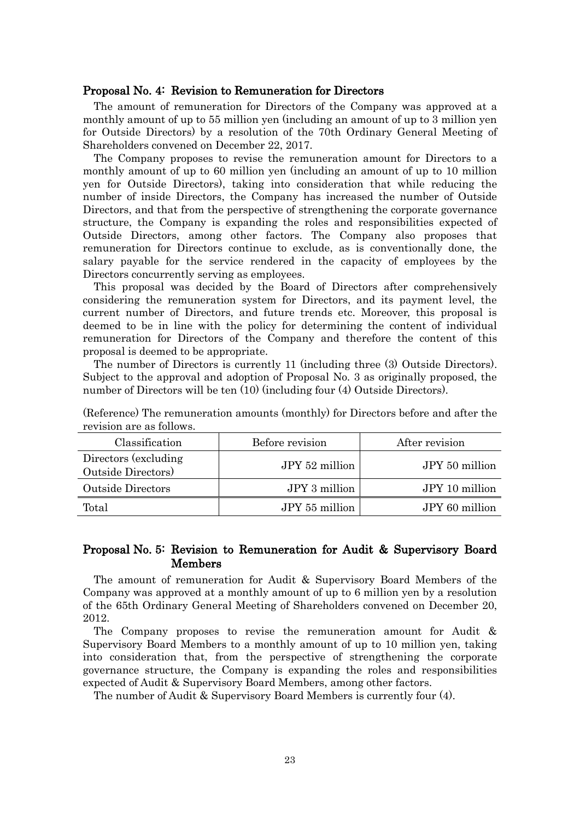#### Proposal No. 4: Revision to Remuneration for Directors

The amount of remuneration for Directors of the Company was approved at a monthly amount of up to 55 million yen (including an amount of up to 3 million yen for Outside Directors) by a resolution of the 70th Ordinary General Meeting of Shareholders convened on December 22, 2017.

The Company proposes to revise the remuneration amount for Directors to a monthly amount of up to 60 million yen (including an amount of up to 10 million yen for Outside Directors), taking into consideration that while reducing the number of inside Directors, the Company has increased the number of Outside Directors, and that from the perspective of strengthening the corporate governance structure, the Company is expanding the roles and responsibilities expected of Outside Directors, among other factors. The Company also proposes that remuneration for Directors continue to exclude, as is conventionally done, the salary payable for the service rendered in the capacity of employees by the Directors concurrently serving as employees.

This proposal was decided by the Board of Directors after comprehensively considering the remuneration system for Directors, and its payment level, the current number of Directors, and future trends etc. Moreover, this proposal is deemed to be in line with the policy for determining the content of individual remuneration for Directors of the Company and therefore the content of this proposal is deemed to be appropriate.

The number of Directors is currently 11 (including three (3) Outside Directors). Subject to the approval and adoption of Proposal No. 3 as originally proposed, the number of Directors will be ten (10) (including four (4) Outside Directors).

| Classification                             | Before revision | After revision |
|--------------------------------------------|-----------------|----------------|
| Directors (excluding<br>Outside Directors) | JPY 52 million  | JPY 50 million |
| <b>Outside Directors</b>                   | JPY 3 million   | JPY 10 million |
| Total                                      | JPY 55 million  | JPY 60 million |

(Reference) The remuneration amounts (monthly) for Directors before and after the revision are as follows.

### Proposal No. 5: Revision to Remuneration for Audit & Supervisory Board Members

The amount of remuneration for Audit & Supervisory Board Members of the Company was approved at a monthly amount of up to 6 million yen by a resolution of the 65th Ordinary General Meeting of Shareholders convened on December 20, 2012.

The Company proposes to revise the remuneration amount for Audit & Supervisory Board Members to a monthly amount of up to 10 million yen, taking into consideration that, from the perspective of strengthening the corporate governance structure, the Company is expanding the roles and responsibilities expected of Audit & Supervisory Board Members, among other factors.

The number of Audit & Supervisory Board Members is currently four (4).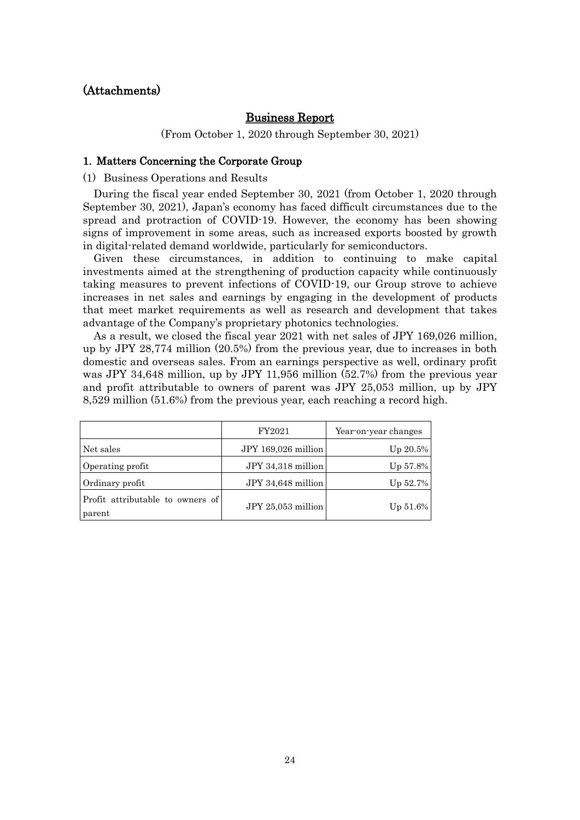# (Attachments)

### Business Report

(From October 1, 2020 through September 30, 2021)

#### 1. Matters Concerning the Corporate Group

(1) Business Operations and Results

During the fiscal year ended September 30, 2021 (from October 1, 2020 through September 30, 2021), Japan's economy has faced difficult circumstances due to the spread and protraction of COVID-19. However, the economy has been showing signs of improvement in some areas, such as increased exports boosted by growth in digital-related demand worldwide, particularly for semiconductors.

Given these circumstances, in addition to continuing to make capital investments aimed at the strengthening of production capacity while continuously taking measures to prevent infections of COVID-19, our Group strove to achieve increases in net sales and earnings by engaging in the development of products that meet market requirements as well as research and development that takes advantage of the Company's proprietary photonics technologies.

As a result, we closed the fiscal year 2021 with net sales of JPY 169,026 million, up by JPY 28,774 million (20.5%) from the previous year, due to increases in both domestic and overseas sales. From an earnings perspective as well, ordinary profit was JPY 34,648 million, up by JPY 11,956 million (52.7%) from the previous year and profit attributable to owners of parent was JPY 25,053 million, up by JPY 8,529 million (51.6%) from the previous year, each reaching a record high.

|                                            | FY2021              | Year-on-year changes |  |
|--------------------------------------------|---------------------|----------------------|--|
| Net sales                                  | JPY 169,026 million | $Up 20.5\%$          |  |
| Operating profit                           | JPY 34,318 million  | $Up 57.8\%$          |  |
| Ordinary profit                            | JPY 34,648 million  | $Up\ 52.7\%$         |  |
| Profit attributable to owners of<br>parent | JPY 25,053 million  | $Up 51.6\%$          |  |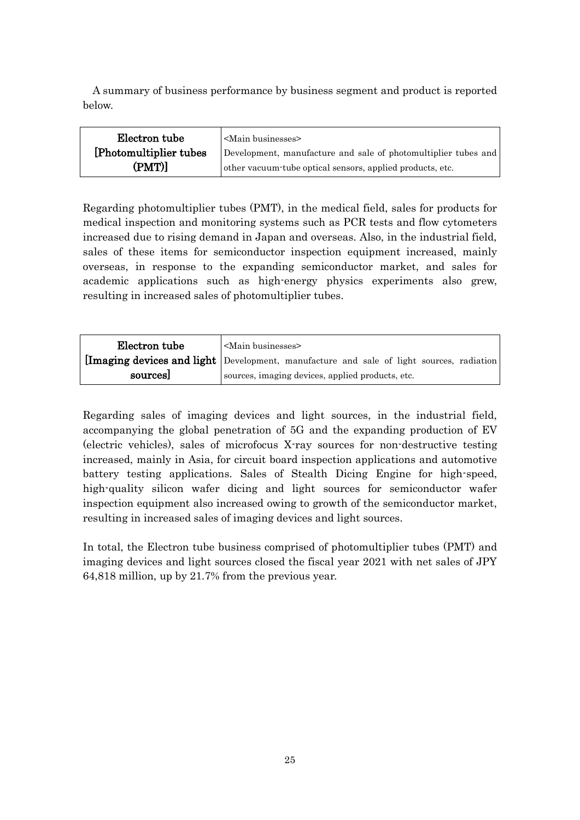A summary of business performance by business segment and product is reported below.

| Electron tube           | <main businesses=""></main>                                    |
|-------------------------|----------------------------------------------------------------|
| [Photomultiplier tubes] | Development, manufacture and sale of photomultiplier tubes and |
| (PMT)]                  | other vacuum tube optical sensors, applied products, etc.      |

Regarding photomultiplier tubes (PMT), in the medical field, sales for products for medical inspection and monitoring systems such as PCR tests and flow cytometers increased due to rising demand in Japan and overseas. Also, in the industrial field, sales of these items for semiconductor inspection equipment increased, mainly overseas, in response to the expanding semiconductor market, and sales for academic applications such as high-energy physics experiments also grew, resulting in increased sales of photomultiplier tubes.

| Electron tube | $\mathsf{\sim}$ Main businesses                                                          |
|---------------|------------------------------------------------------------------------------------------|
|               | [Imaging devices and light Development, manufacture and sale of light sources, radiation |
| sources       | sources, imaging devices, applied products, etc.                                         |

Regarding sales of imaging devices and light sources, in the industrial field, accompanying the global penetration of 5G and the expanding production of EV (electric vehicles), sales of microfocus X-ray sources for non-destructive testing increased, mainly in Asia, for circuit board inspection applications and automotive battery testing applications. Sales of Stealth Dicing Engine for high-speed, high-quality silicon wafer dicing and light sources for semiconductor wafer inspection equipment also increased owing to growth of the semiconductor market, resulting in increased sales of imaging devices and light sources.

In total, the Electron tube business comprised of photomultiplier tubes (PMT) and imaging devices and light sources closed the fiscal year 2021 with net sales of JPY 64,818 million, up by 21.7% from the previous year.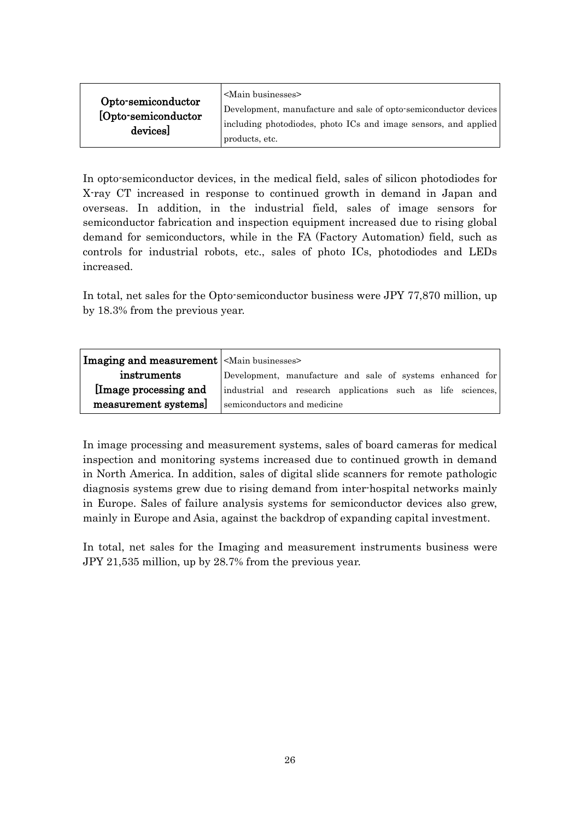| Opto-semiconductor<br>[Opto-semiconductor<br>devices] | <main businesses=""><br/>Development, manufacture and sale of opto-semiconductor devices<br/>including photodiodes, photo ICs and image sensors, and applied<br/>products, etc.</main> |
|-------------------------------------------------------|----------------------------------------------------------------------------------------------------------------------------------------------------------------------------------------|
|-------------------------------------------------------|----------------------------------------------------------------------------------------------------------------------------------------------------------------------------------------|

In opto-semiconductor devices, in the medical field, sales of silicon photodiodes for X-ray CT increased in response to continued growth in demand in Japan and overseas. In addition, in the industrial field, sales of image sensors for semiconductor fabrication and inspection equipment increased due to rising global demand for semiconductors, while in the FA (Factory Automation) field, such as controls for industrial robots, etc., sales of photo ICs, photodiodes and LEDs increased.

In total, net sales for the Opto-semiconductor business were JPY 77,870 million, up by 18.3% from the previous year.

| Imaging and measurement <main businesses=""></main> |                                                             |  |  |  |  |
|-----------------------------------------------------|-------------------------------------------------------------|--|--|--|--|
| instruments                                         | Development, manufacture and sale of systems enhanced for   |  |  |  |  |
| Image processing and                                | industrial and research applications such as life sciences, |  |  |  |  |
| measurement systems]                                | semiconductors and medicine                                 |  |  |  |  |

In image processing and measurement systems, sales of board cameras for medical inspection and monitoring systems increased due to continued growth in demand in North America. In addition, sales of digital slide scanners for remote pathologic diagnosis systems grew due to rising demand from inter-hospital networks mainly in Europe. Sales of failure analysis systems for semiconductor devices also grew, mainly in Europe and Asia, against the backdrop of expanding capital investment.

In total, net sales for the Imaging and measurement instruments business were JPY 21,535 million, up by 28.7% from the previous year.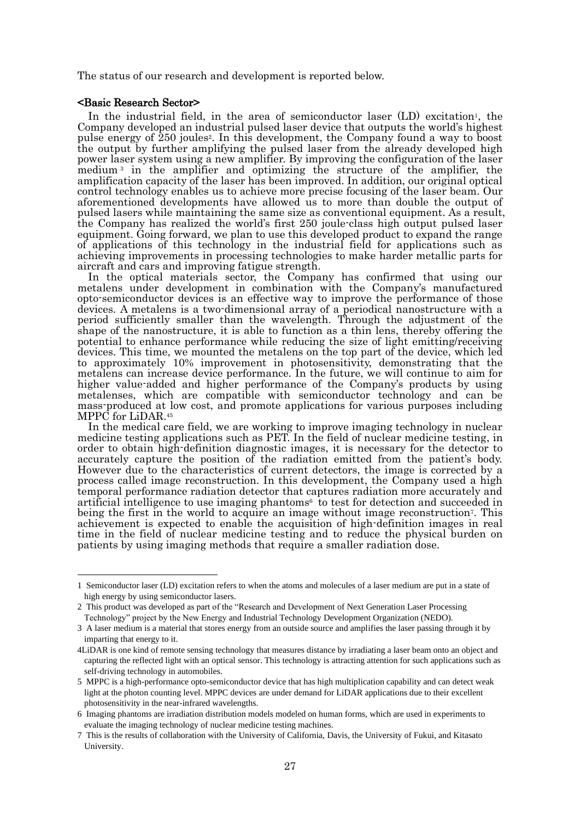The status of our research and development is reported below.

#### <Basic Research Sector>

In the industrial field, in the area of semiconductor laser (LD) excitation<sup>1</sup>, the Company developed an industrial pulsed laser device that outputs the world's highest pulse energy of 250 joules<sup>2</sup> . In this development, the Company found a way to boost the output by further amplifying the pulsed laser from the already developed high power laser system using a new amplifier. By improving the configuration of the laser medium <sup>3</sup> in the amplifier and optimizing the structure of the amplifier, the amplification capacity of the laser has been improved. In addition, our original optical control technology enables us to achieve more precise focusing of the laser beam. Our aforementioned developments have allowed us to more than double the output of pulsed lasers while maintaining the same size as conventional equipment. As a result, the Company has realized the world's first 250 joule-class high output pulsed laser equipment. Going forward, we plan to use this developed product to expand the range of applications of this technology in the industrial field for applications such as achieving improvements in processing technologies to make harder metallic parts for aircraft and cars and improving fatigue strength.

In the optical materials sector, the Company has confirmed that using our metalens under development in combination with the Company's manufactured opto-semiconductor devices is an effective way to improve the performance of those devices. A metalens is a two-dimensional array of a periodical nanostructure with a period sufficiently smaller than the wavelength. Through the adjustment of the shape of the nanostructure, it is able to function as a thin lens, thereby offering the potential to enhance performance while reducing the size of light emitting/receiving devices. This time, we mounted the metalens on the top part of the device, which led to approximately 10% improvement in photosensitivity, demonstrating that the metalens can increase device performance. In the future, we will continue to aim for higher value-added and higher performance of the Company's products by using metalenses, which are compatible with semiconductor technology and can be mass-produced at low cost, and promote applications for various purposes including MPPC for LiDAR.<sup>45</sup>

In the medical care field, we are working to improve imaging technology in nuclear medicine testing applications such as PET. In the field of nuclear medicine testing, in order to obtain high-definition diagnostic images, it is necessary for the detector to accurately capture the position of the radiation emitted from the patient's body. However due to the characteristics of current detectors, the image is corrected by a process called image reconstruction. In this development, the Company used a high temporal performance radiation detector that captures radiation more accurately and artificial intelligence to use imaging phantoms<sup>6</sup> to test for detection and succeeded in being the first in the world to acquire an image without image reconstruction<sup>7</sup>. This achievement is expected to enable the acquisition of high-definition images in real time in the field of nuclear medicine testing and to reduce the physical burden on patients by using imaging methods that require a smaller radiation dose.

<sup>1</sup> Semiconductor laser (LD) excitation refers to when the atoms and molecules of a laser medium are put in a state of high energy by using semiconductor lasers.

<sup>2</sup> This product was developed as part of the "Research and Development of Next Generation Laser Processing Technology" project by the New Energy and Industrial Technology Development Organization (NEDO).

<sup>3</sup> A laser medium is a material that stores energy from an outside source and amplifies the laser passing through it by imparting that energy to it.

<sup>4</sup>LiDAR is one kind of remote sensing technology that measures distance by irradiating a laser beam onto an object and capturing the reflected light with an optical sensor. This technology is attracting attention for such applications such as self-driving technology in automobiles.

<sup>5</sup> MPPC is a high-performance opto-semiconductor device that has high multiplication capability and can detect weak light at the photon counting level. MPPC devices are under demand for LiDAR applications due to their excellent photosensitivity in the near-infrared wavelengths.

<sup>6</sup> Imaging phantoms are irradiation distribution models modeled on human forms, which are used in experiments to evaluate the imaging technology of nuclear medicine testing machines.

<sup>7</sup> This is the results of collaboration with the University of California, Davis, the University of Fukui, and Kitasato University.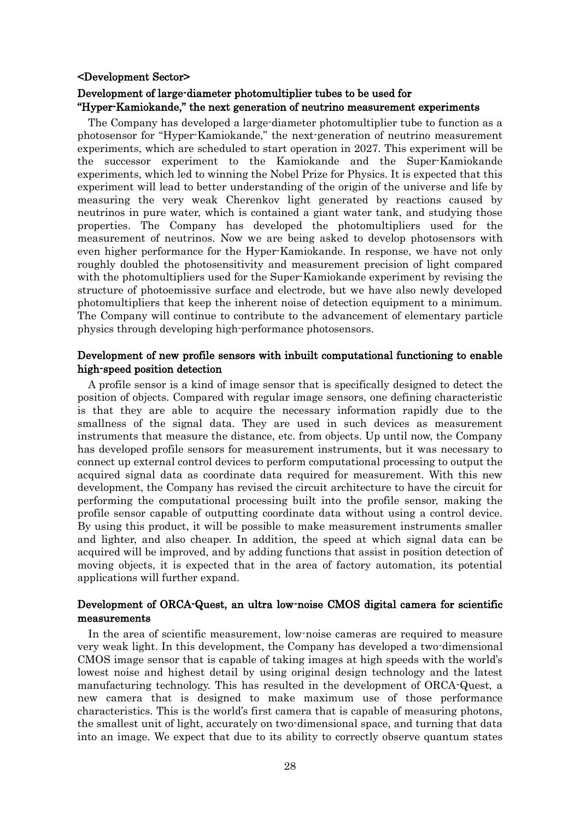#### <Development Sector>

# Development of large-diameter photomultiplier tubes to be used for "Hyper-Kamiokande," the next generation of neutrino measurement experiments

The Company has developed a large-diameter photomultiplier tube to function as a photosensor for "Hyper-Kamiokande," the next-generation of neutrino measurement experiments, which are scheduled to start operation in 2027. This experiment will be the successor experiment to the Kamiokande and the Super-Kamiokande experiments, which led to winning the Nobel Prize for Physics. It is expected that this experiment will lead to better understanding of the origin of the universe and life by measuring the very weak Cherenkov light generated by reactions caused by neutrinos in pure water, which is contained a giant water tank, and studying those properties. The Company has developed the photomultipliers used for the measurement of neutrinos. Now we are being asked to develop photosensors with even higher performance for the Hyper-Kamiokande. In response, we have not only roughly doubled the photosensitivity and measurement precision of light compared with the photomultipliers used for the Super-Kamiokande experiment by revising the structure of photoemissive surface and electrode, but we have also newly developed photomultipliers that keep the inherent noise of detection equipment to a minimum. The Company will continue to contribute to the advancement of elementary particle physics through developing high-performance photosensors.

### Development of new profile sensors with inbuilt computational functioning to enable high-speed position detection

A profile sensor is a kind of image sensor that is specifically designed to detect the position of objects. Compared with regular image sensors, one defining characteristic is that they are able to acquire the necessary information rapidly due to the smallness of the signal data. They are used in such devices as measurement instruments that measure the distance, etc. from objects. Up until now, the Company has developed profile sensors for measurement instruments, but it was necessary to connect up external control devices to perform computational processing to output the acquired signal data as coordinate data required for measurement. With this new development, the Company has revised the circuit architecture to have the circuit for performing the computational processing built into the profile sensor, making the profile sensor capable of outputting coordinate data without using a control device. By using this product, it will be possible to make measurement instruments smaller and lighter, and also cheaper. In addition, the speed at which signal data can be acquired will be improved, and by adding functions that assist in position detection of moving objects, it is expected that in the area of factory automation, its potential applications will further expand.

### Development of ORCA-Quest, an ultra low-noise CMOS digital camera for scientific measurements

In the area of scientific measurement, low-noise cameras are required to measure very weak light. In this development, the Company has developed a two-dimensional CMOS image sensor that is capable of taking images at high speeds with the world's lowest noise and highest detail by using original design technology and the latest manufacturing technology. This has resulted in the development of ORCA-Quest, a new camera that is designed to make maximum use of those performance characteristics. This is the world's first camera that is capable of measuring photons, the smallest unit of light, accurately on two-dimensional space, and turning that data into an image. We expect that due to its ability to correctly observe quantum states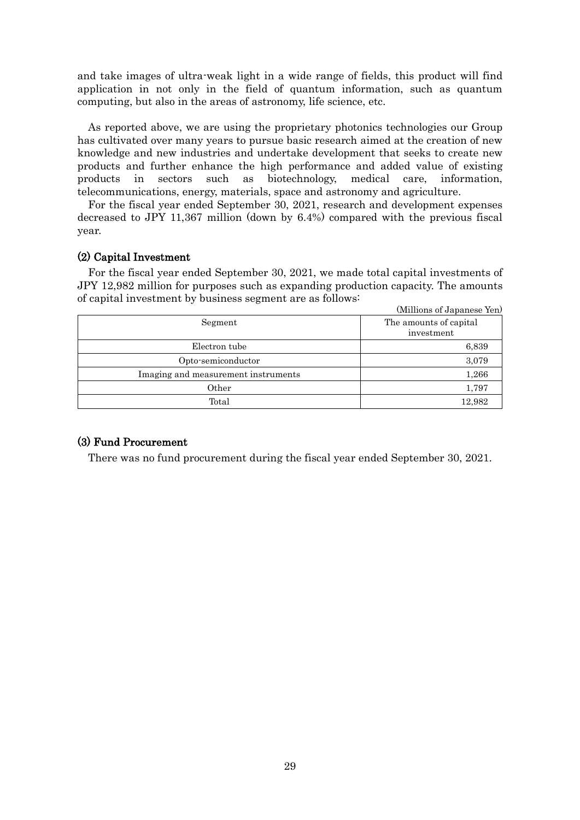and take images of ultra-weak light in a wide range of fields, this product will find application in not only in the field of quantum information, such as quantum computing, but also in the areas of astronomy, life science, etc.

As reported above, we are using the proprietary photonics technologies our Group has cultivated over many years to pursue basic research aimed at the creation of new knowledge and new industries and undertake development that seeks to create new products and further enhance the high performance and added value of existing products in sectors such as biotechnology, medical care, information, telecommunications, energy, materials, space and astronomy and agriculture.

For the fiscal year ended September 30, 2021, research and development expenses decreased to JPY 11,367 million (down by 6.4%) compared with the previous fiscal year.

### (2) Capital Investment

For the fiscal year ended September 30, 2021, we made total capital investments of JPY 12,982 million for purposes such as expanding production capacity. The amounts of capital investment by business segment are as follows:

|                                     | (Millions of Japanese Yen)           |
|-------------------------------------|--------------------------------------|
| Segment                             | The amounts of capital<br>investment |
| Electron tube                       | 6,839                                |
| Opto-semiconductor                  | 3,079                                |
| Imaging and measurement instruments | 1,266                                |
| Other                               | 1,797                                |
| Total                               | 12,982                               |

# (3) Fund Procurement

There was no fund procurement during the fiscal year ended September 30, 2021.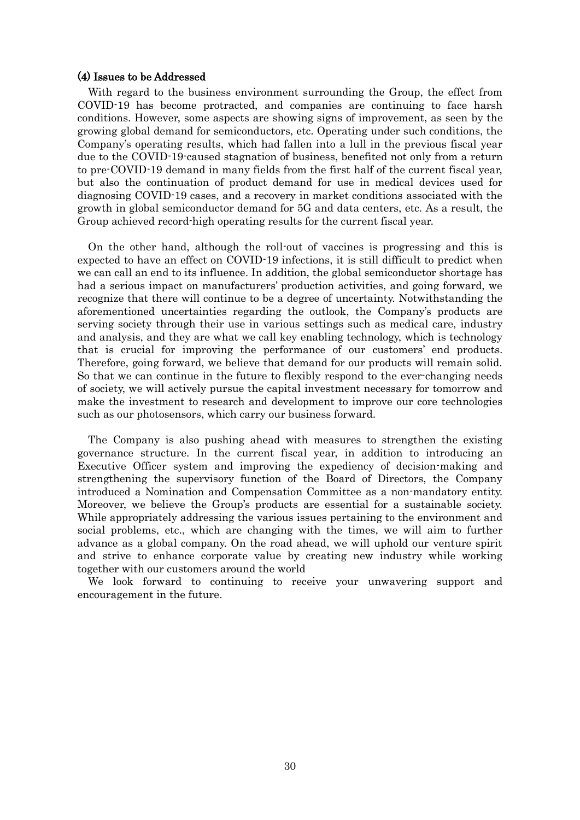#### (4) Issues to be Addressed

With regard to the business environment surrounding the Group, the effect from COVID-19 has become protracted, and companies are continuing to face harsh conditions. However, some aspects are showing signs of improvement, as seen by the growing global demand for semiconductors, etc. Operating under such conditions, the Company's operating results, which had fallen into a lull in the previous fiscal year due to the COVID-19-caused stagnation of business, benefited not only from a return to pre-COVID-19 demand in many fields from the first half of the current fiscal year, but also the continuation of product demand for use in medical devices used for diagnosing COVID-19 cases, and a recovery in market conditions associated with the growth in global semiconductor demand for 5G and data centers, etc. As a result, the Group achieved record-high operating results for the current fiscal year.

On the other hand, although the roll-out of vaccines is progressing and this is expected to have an effect on COVID-19 infections, it is still difficult to predict when we can call an end to its influence. In addition, the global semiconductor shortage has had a serious impact on manufacturers' production activities, and going forward, we recognize that there will continue to be a degree of uncertainty. Notwithstanding the aforementioned uncertainties regarding the outlook, the Company's products are serving society through their use in various settings such as medical care, industry and analysis, and they are what we call key enabling technology, which is technology that is crucial for improving the performance of our customers' end products. Therefore, going forward, we believe that demand for our products will remain solid. So that we can continue in the future to flexibly respond to the ever-changing needs of society, we will actively pursue the capital investment necessary for tomorrow and make the investment to research and development to improve our core technologies such as our photosensors, which carry our business forward.

The Company is also pushing ahead with measures to strengthen the existing governance structure. In the current fiscal year, in addition to introducing an Executive Officer system and improving the expediency of decision-making and strengthening the supervisory function of the Board of Directors, the Company introduced a Nomination and Compensation Committee as a non-mandatory entity. Moreover, we believe the Group's products are essential for a sustainable society. While appropriately addressing the various issues pertaining to the environment and social problems, etc., which are changing with the times, we will aim to further advance as a global company. On the road ahead, we will uphold our venture spirit and strive to enhance corporate value by creating new industry while working together with our customers around the world

We look forward to continuing to receive your unwavering support and encouragement in the future.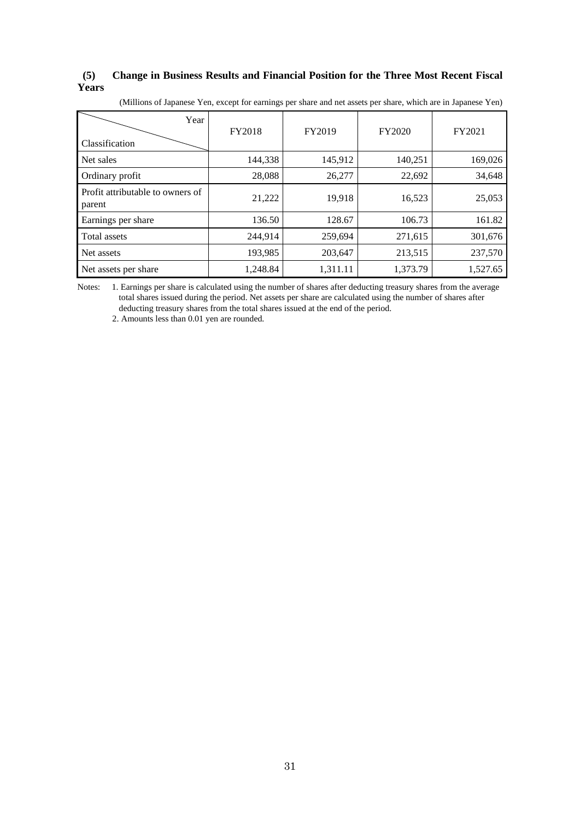### **(5) Change in Business Results and Financial Position for the Three Most Recent Fiscal Years**

|  |  |  |  |  | (Millions of Japanese Yen, except for earnings per share and net assets per share, which are in Japanese Yen) |
|--|--|--|--|--|---------------------------------------------------------------------------------------------------------------|
|--|--|--|--|--|---------------------------------------------------------------------------------------------------------------|

| Year<br>Classification                     | FY2018   | FY2019   | FY2020   | FY2021   |
|--------------------------------------------|----------|----------|----------|----------|
| Net sales                                  | 144,338  | 145,912  | 140,251  | 169,026  |
| Ordinary profit                            | 28,088   | 26,277   | 22,692   | 34,648   |
| Profit attributable to owners of<br>parent | 21,222   | 19,918   | 16,523   | 25,053   |
| Earnings per share                         | 136.50   | 128.67   | 106.73   | 161.82   |
| Total assets                               | 244,914  | 259,694  | 271,615  | 301,676  |
| Net assets                                 | 193,985  | 203,647  | 213,515  | 237,570  |
| Net assets per share                       | 1,248.84 | 1,311.11 | 1,373.79 | 1,527.65 |

Notes: 1. Earnings per share is calculated using the number of shares after deducting treasury shares from the average total shares issued during the period. Net assets per share are calculated using the number of shares after deducting treasury shares from the total shares issued at the end of the period.

2. Amounts less than 0.01 yen are rounded.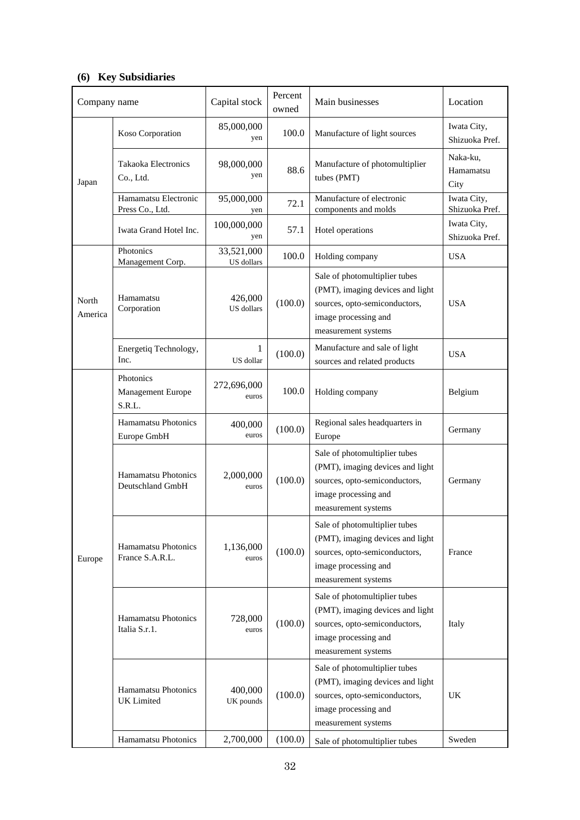# **(6) Key Subsidiaries**

| Company name     |                                                | Capital stock                | Percent<br>owned | Main businesses                                                                                                                                   | Location                      |
|------------------|------------------------------------------------|------------------------------|------------------|---------------------------------------------------------------------------------------------------------------------------------------------------|-------------------------------|
|                  | Koso Corporation                               | 85,000,000<br>yen            | 100.0            | Manufacture of light sources                                                                                                                      | Iwata City,<br>Shizuoka Pref. |
| Japan            | Takaoka Electronics<br>Co., Ltd.               | 98,000,000<br>yen            | 88.6             | Manufacture of photomultiplier<br>tubes (PMT)                                                                                                     | Naka-ku,<br>Hamamatsu<br>City |
|                  | Hamamatsu Electronic<br>Press Co., Ltd.        | 95,000,000<br>yen            | 72.1             | Manufacture of electronic<br>components and molds                                                                                                 | Iwata City,<br>Shizuoka Pref. |
|                  | Iwata Grand Hotel Inc.                         | 100,000,000<br>yen           | 57.1             | Hotel operations                                                                                                                                  | Iwata City,<br>Shizuoka Pref. |
|                  | Photonics<br>Management Corp.                  | 33,521,000<br>US dollars     | 100.0            | Holding company                                                                                                                                   | <b>USA</b>                    |
| North<br>America | Hamamatsu<br>Corporation                       | 426,000<br><b>US</b> dollars | (100.0)          | Sale of photomultiplier tubes<br>(PMT), imaging devices and light<br>sources, opto-semiconductors,<br>image processing and<br>measurement systems | <b>USA</b>                    |
|                  | Energetiq Technology,<br>Inc.                  | 1<br>US dollar               | (100.0)          | Manufacture and sale of light<br>sources and related products                                                                                     | <b>USA</b>                    |
|                  | Photonics<br>Management Europe<br>S.R.L.       | 272,696,000<br>euros         | 100.0            | Holding company                                                                                                                                   | Belgium                       |
|                  | <b>Hamamatsu Photonics</b><br>Europe GmbH      | 400,000<br>euros             | (100.0)          | Regional sales headquarters in<br>Europe                                                                                                          | Germany                       |
|                  | <b>Hamamatsu Photonics</b><br>Deutschland GmbH | 2,000,000<br>euros           | (100.0)          | Sale of photomultiplier tubes<br>(PMT), imaging devices and light<br>sources, opto-semiconductors,<br>image processing and<br>measurement systems | Germany                       |
| Europe           | <b>Hamamatsu Photonics</b><br>France S.A.R.L.  | 1,136,000<br>euros           | (100.0)          | Sale of photomultiplier tubes<br>(PMT), imaging devices and light<br>sources, opto-semiconductors,<br>image processing and<br>measurement systems | France                        |
|                  | <b>Hamamatsu Photonics</b><br>Italia S.r.1.    | 728,000<br>euros             | (100.0)          | Sale of photomultiplier tubes<br>(PMT), imaging devices and light<br>sources, opto-semiconductors,<br>image processing and<br>measurement systems | Italy                         |
|                  | <b>Hamamatsu Photonics</b><br>UK Limited       | 400,000<br>UK pounds         | (100.0)          | Sale of photomultiplier tubes<br>(PMT), imaging devices and light<br>sources, opto-semiconductors,<br>image processing and<br>measurement systems | UK                            |
|                  | Hamamatsu Photonics                            | 2,700,000                    | (100.0)          | Sale of photomultiplier tubes                                                                                                                     | Sweden                        |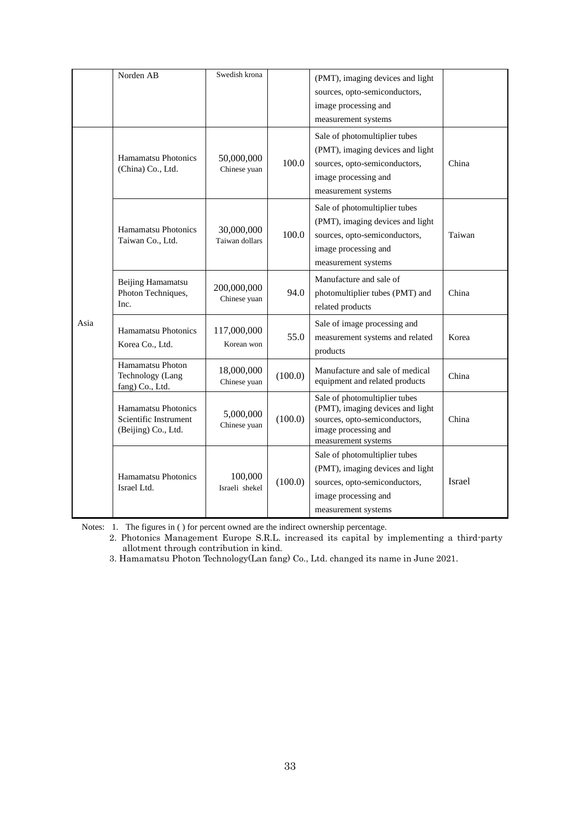|      | Norden AB                                                           | Swedish krona                |         | (PMT), imaging devices and light<br>sources, opto-semiconductors,<br>image processing and<br>measurement systems                                  |               |
|------|---------------------------------------------------------------------|------------------------------|---------|---------------------------------------------------------------------------------------------------------------------------------------------------|---------------|
|      | Hamamatsu Photonics<br>(China) Co., Ltd.                            | 50,000,000<br>Chinese yuan   | 100.0   | Sale of photomultiplier tubes<br>(PMT), imaging devices and light<br>sources, opto-semiconductors,<br>image processing and<br>measurement systems | China         |
|      | Hamamatsu Photonics<br>Taiwan Co., Ltd.                             | 30,000,000<br>Taiwan dollars | 100.0   | Sale of photomultiplier tubes<br>(PMT), imaging devices and light<br>sources, opto-semiconductors,<br>image processing and<br>measurement systems | Taiwan        |
|      | Beijing Hamamatsu<br>Photon Techniques,<br>Inc.                     | 200,000,000<br>Chinese yuan  | 94.0    | Manufacture and sale of<br>photomultiplier tubes (PMT) and<br>related products                                                                    | China         |
| Asia | <b>Hamamatsu Photonics</b><br>Korea Co., Ltd.                       | 117,000,000<br>Korean won    | 55.0    | Sale of image processing and<br>measurement systems and related<br>products                                                                       | Korea         |
|      | Hamamatsu Photon<br>Technology (Lang<br>fang) Co., Ltd.             | 18,000,000<br>Chinese yuan   | (100.0) | Manufacture and sale of medical<br>equipment and related products                                                                                 | China         |
|      | Hamamatsu Photonics<br>Scientific Instrument<br>(Beijing) Co., Ltd. | 5,000,000<br>Chinese yuan    | (100.0) | Sale of photomultiplier tubes<br>(PMT), imaging devices and light<br>sources, opto-semiconductors,<br>image processing and<br>measurement systems | China         |
|      | Hamamatsu Photonics<br>Israel Ltd.                                  | 100,000<br>Israeli shekel    | (100.0) | Sale of photomultiplier tubes<br>(PMT), imaging devices and light<br>sources, opto-semiconductors,<br>image processing and<br>measurement systems | <b>Israel</b> |

Notes: 1. The figures in ( ) for percent owned are the indirect ownership percentage.

2. Photonics Management Europe S.R.L. increased its capital by implementing a third-party allotment through contribution in kind.

3. Hamamatsu Photon Technology(Lan fang) Co., Ltd. changed its name in June 2021.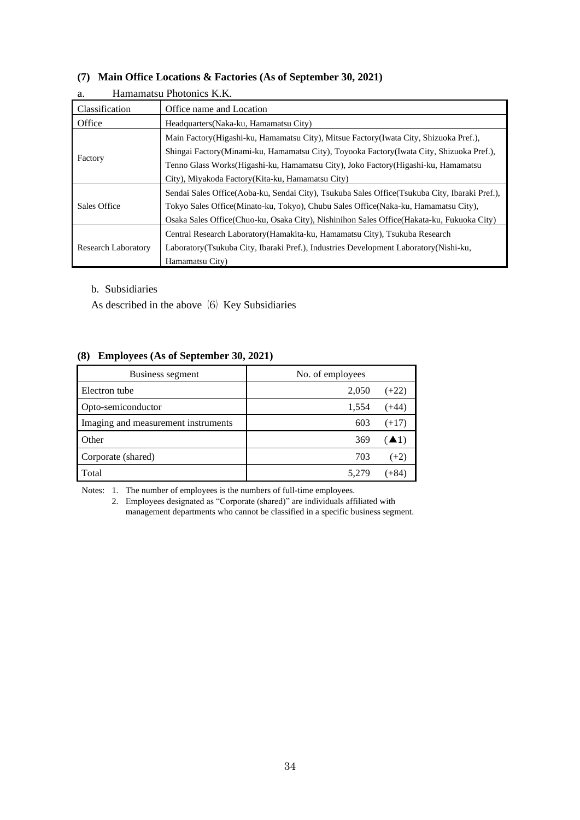### **(7) Main Office Locations & Factories (As of September 30, 2021)**

| a.                         | Hamamatsu Photonics K.K.                                                                        |
|----------------------------|-------------------------------------------------------------------------------------------------|
| <b>Classification</b>      | Office name and Location                                                                        |
| Office                     | Headquarters (Naka-ku, Hamamatsu City)                                                          |
|                            | Main Factory (Higashi-ku, Hamamatsu City), Mitsue Factory (Iwata City, Shizuoka Pref.),         |
|                            | Shingai Factory (Minami-ku, Hamamatsu City), Toyooka Factory (Iwata City, Shizuoka Pref.),      |
| Factory                    | Tenno Glass Works (Higashi-ku, Hamamatsu City), Joko Factory (Higashi-ku, Hamamatsu             |
|                            | City), Miyakoda Factory (Kita-ku, Hamamatsu City)                                               |
|                            | Sendai Sales Office (Aoba-ku, Sendai City), Tsukuba Sales Office (Tsukuba City, Ibaraki Pref.), |
| Sales Office               | Tokyo Sales Office (Minato-ku, Tokyo), Chubu Sales Office (Naka-ku, Hamamatsu City),            |
|                            | Osaka Sales Office(Chuo-ku, Osaka City), Nishinihon Sales Office(Hakata-ku, Fukuoka City)       |
|                            | Central Research Laboratory (Hamakita-ku, Hamamatsu City), Tsukuba Research                     |
| <b>Research Laboratory</b> | Laboratory (Tsukuba City, Ibaraki Pref.), Industries Development Laboratory (Nishi-ku,          |
|                            | Hamamatsu City)                                                                                 |

b. Subsidiaries

As described in the above  $(6)$  Key Subsidiaries

### **(8) Employees (As of September 30, 2021)**

| Business segment                    | No. of employees |  |
|-------------------------------------|------------------|--|
| Electron tube                       | 2,050<br>$(+22)$ |  |
| Opto-semiconductor                  | 1,554<br>$(+44)$ |  |
| Imaging and measurement instruments | 603<br>$(+17)$   |  |
| Other                               | (41)<br>369      |  |
| Corporate (shared)                  | 703<br>$(+2)$    |  |
| Total                               | $(+84)$<br>5,279 |  |

Notes: 1. The number of employees is the numbers of full-time employees.

2. Employees designated as "Corporate (shared)" are individuals affiliated with management departments who cannot be classified in a specific business segment.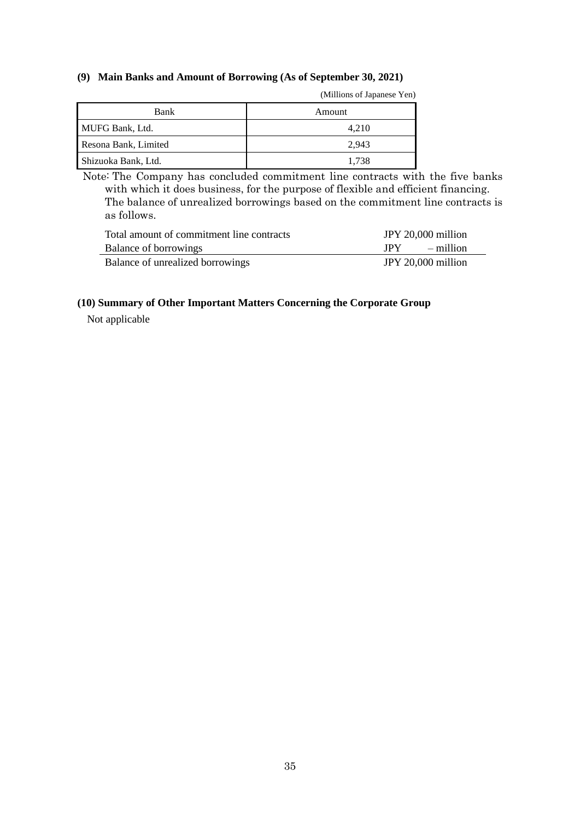### **(9) Main Banks and Amount of Borrowing (As of September 30, 2021)**

| Bank                 | Amount |
|----------------------|--------|
| MUFG Bank, Ltd.      | 4.210  |
| Resona Bank, Limited | 2.943  |
| Shizuoka Bank, Ltd.  | 1.738  |

Note: The Company has concluded commitment line contracts with the five banks with which it does business, for the purpose of flexible and efficient financing. The balance of unrealized borrowings based on the commitment line contracts is as follows.

| Total amount of commitment line contracts | JPY 20,000 million |           |
|-------------------------------------------|--------------------|-----------|
| Balance of borrowings                     | <b>IPY</b>         | – million |
| Balance of unrealized borrowings          | JPY 20,000 million |           |

### **(10) Summary of Other Important Matters Concerning the Corporate Group**

Not applicable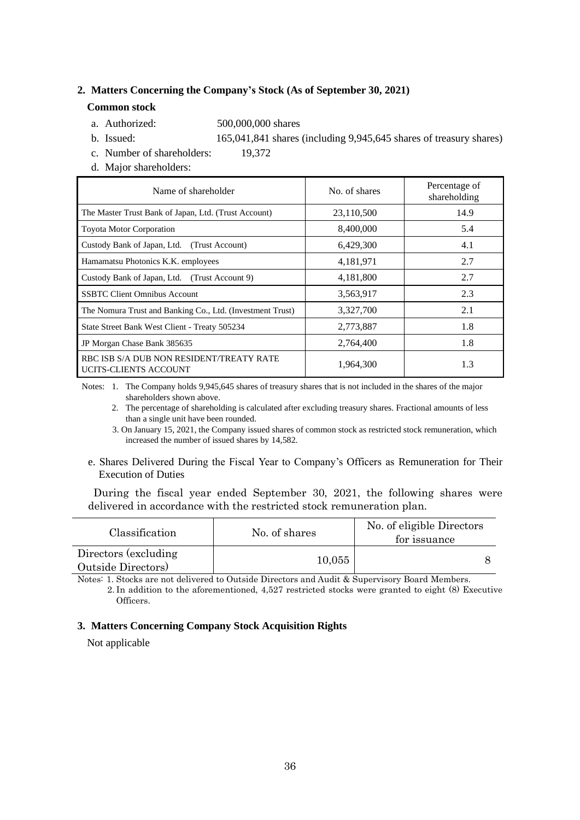#### **2. Matters Concerning the Company's Stock (As of September 30, 2021)**

#### **Common stock**

- a. Authorized: 500,000,000 shares
- b. Issued: 165,041,841 shares (including 9,945,645 shares of treasury shares)
- c. Number of shareholders: 19,372
- d. Major shareholders:

| Name of shareholder                                               | No. of shares | Percentage of<br>shareholding |
|-------------------------------------------------------------------|---------------|-------------------------------|
| The Master Trust Bank of Japan, Ltd. (Trust Account)              | 23,110,500    | 14.9                          |
| <b>Toyota Motor Corporation</b>                                   | 8,400,000     | 5.4                           |
| Custody Bank of Japan, Ltd. (Trust Account)                       | 6,429,300     | 4.1                           |
| Hamamatsu Photonics K.K. employees                                | 4,181,971     | 2.7                           |
| Custody Bank of Japan, Ltd. (Trust Account 9)                     | 4,181,800     | 2.7                           |
| <b>SSBTC Client Omnibus Account</b>                               | 3,563,917     | 2.3                           |
| The Nomura Trust and Banking Co., Ltd. (Investment Trust)         | 3,327,700     | 2.1                           |
| State Street Bank West Client - Treaty 505234                     | 2,773,887     | 1.8                           |
| JP Morgan Chase Bank 385635                                       | 2,764,400     | 1.8                           |
| RBC ISB S/A DUB NON RESIDENT/TREATY RATE<br>UCITS-CLIENTS ACCOUNT | 1,964,300     | 1.3                           |

Notes: 1. The Company holds 9,945,645 shares of treasury shares that is not included in the shares of the major shareholders shown above.

2. The percentage of shareholding is calculated after excluding treasury shares. Fractional amounts of less than a single unit have been rounded.

 3. On January 15, 2021, the Company issued shares of common stock as restricted stock remuneration, which increased the number of issued shares by 14,582.

e. Shares Delivered During the Fiscal Year to Company's Officers as Remuneration for Their Execution of Duties

During the fiscal year ended September 30, 2021, the following shares were delivered in accordance with the restricted stock remuneration plan.

| Classification                            | No. of shares | No. of eligible Directors<br>for issuance |
|-------------------------------------------|---------------|-------------------------------------------|
| Directors (excluding<br>Outside Directors | 10,055        |                                           |

Notes: 1. Stocks are not delivered to Outside Directors and Audit & Supervisory Board Members. 2. In addition to the aforementioned, 4,527 restricted stocks were granted to eight (8) Executive Officers.

### **3. Matters Concerning Company Stock Acquisition Rights**

Not applicable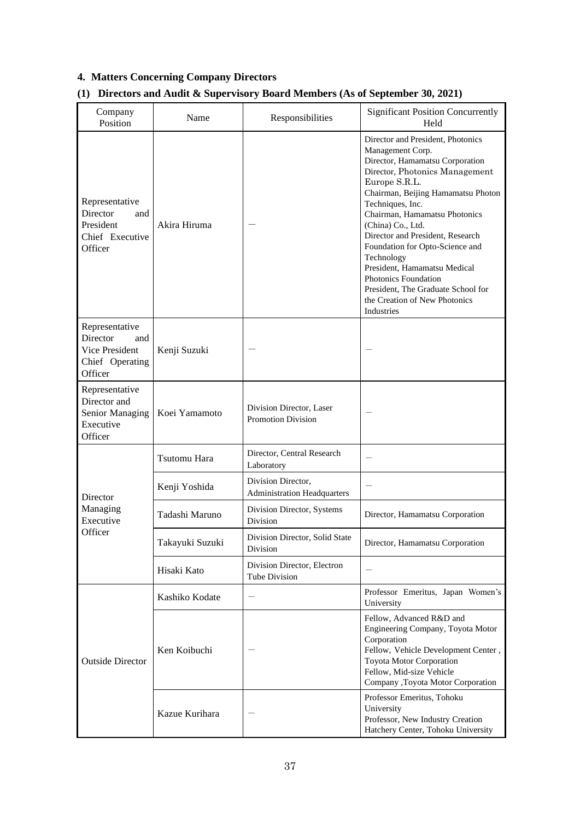# **4. Matters Concerning Company Directors**

| Company<br>Position                                                               | Name            | Responsibilities                                         | <b>Significant Position Concurrently</b><br>Held                                                                                                                                                                                                                                                                                                                                                                                                                                                     |
|-----------------------------------------------------------------------------------|-----------------|----------------------------------------------------------|------------------------------------------------------------------------------------------------------------------------------------------------------------------------------------------------------------------------------------------------------------------------------------------------------------------------------------------------------------------------------------------------------------------------------------------------------------------------------------------------------|
| Representative<br>Director<br>and<br>President<br>Chief Executive<br>Officer      | Akira Hiruma    |                                                          | Director and President. Photonics<br>Management Corp.<br>Director, Hamamatsu Corporation<br>Director, Photonics Management<br>Europe S.R.L.<br>Chairman, Beijing Hamamatsu Photon<br>Techniques, Inc.<br>Chairman, Hamamatsu Photonics<br>(China) Co., Ltd.<br>Director and President, Research<br>Foundation for Opto-Science and<br>Technology<br>President, Hamamatsu Medical<br><b>Photonics Foundation</b><br>President, The Graduate School for<br>the Creation of New Photonics<br>Industries |
| Representative<br>Director<br>and<br>Vice President<br>Chief Operating<br>Officer | Kenji Suzuki    |                                                          |                                                                                                                                                                                                                                                                                                                                                                                                                                                                                                      |
| Representative<br>Director and<br>Senior Managing<br>Executive<br>Officer         | Koei Yamamoto   | Division Director, Laser<br><b>Promotion Division</b>    |                                                                                                                                                                                                                                                                                                                                                                                                                                                                                                      |
|                                                                                   | Tsutomu Hara    | Director, Central Research<br>Laboratory                 |                                                                                                                                                                                                                                                                                                                                                                                                                                                                                                      |
| Director                                                                          | Kenji Yoshida   | Division Director,<br><b>Administration Headquarters</b> |                                                                                                                                                                                                                                                                                                                                                                                                                                                                                                      |
| Managing<br>Executive                                                             | Tadashi Maruno  | Division Director, Systems<br>Division                   | Director, Hamamatsu Corporation                                                                                                                                                                                                                                                                                                                                                                                                                                                                      |
| Officer                                                                           | Takayuki Suzuki | Division Director, Solid State<br>Division               | Director, Hamamatsu Corporation                                                                                                                                                                                                                                                                                                                                                                                                                                                                      |
|                                                                                   | Hisaki Kato     | Division Director, Electron<br>Tube Division             |                                                                                                                                                                                                                                                                                                                                                                                                                                                                                                      |
|                                                                                   | Kashiko Kodate  |                                                          | Professor Emeritus, Japan Women's<br>University                                                                                                                                                                                                                                                                                                                                                                                                                                                      |
| <b>Outside Director</b>                                                           | Ken Koibuchi    |                                                          | Fellow, Advanced R&D and<br>Engineering Company, Toyota Motor<br>Corporation<br>Fellow, Vehicle Development Center,<br>Toyota Motor Corporation<br>Fellow, Mid-size Vehicle<br>Company ,Toyota Motor Corporation                                                                                                                                                                                                                                                                                     |
|                                                                                   | Kazue Kurihara  |                                                          | Professor Emeritus, Tohoku<br>University<br>Professor, New Industry Creation<br>Hatchery Center, Tohoku University                                                                                                                                                                                                                                                                                                                                                                                   |

# **(1) Directors and Audit & Supervisory Board Members (As of September 30, 2021)**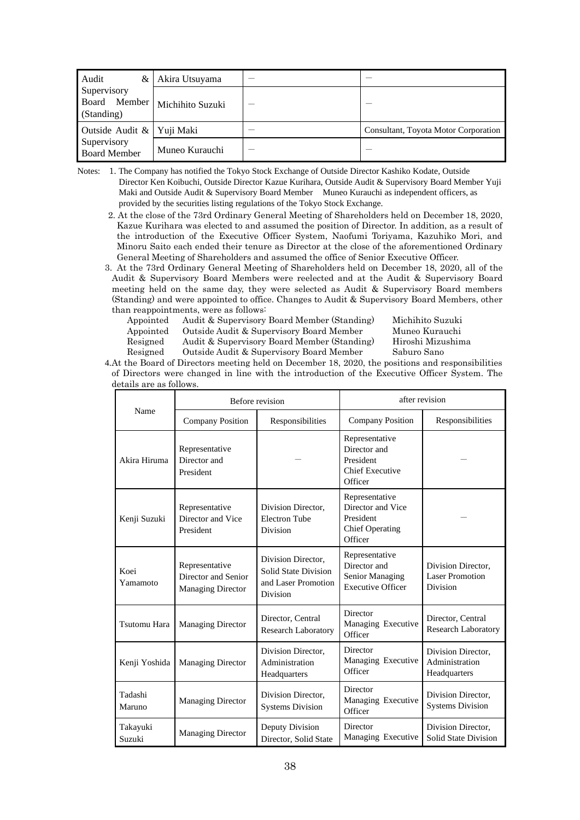| Audit                              | & Akira Utsuyama                |                                      |
|------------------------------------|---------------------------------|--------------------------------------|
| Supervisory<br>(Standing)          | Board Member   Michihito Suzuki |                                      |
| Outside Audit & Yuji Maki          |                                 | Consultant, Toyota Motor Corporation |
| Supervisory<br><b>Board Member</b> | Muneo Kurauchi                  |                                      |

Notes: 1. The Company has notified the Tokyo Stock Exchange of Outside Director Kashiko Kodate, Outside Director Ken Koibuchi, Outside Director Kazue Kurihara, Outside Audit & Supervisory Board Member Yuji Maki and Outside Audit & Supervisory Board Member Muneo Kurauchi as independent officers, as provided by the securities listing regulations of the Tokyo Stock Exchange.

- 2. At the close of the 73rd Ordinary General Meeting of Shareholders held on December 18, 2020, Kazue Kurihara was elected to and assumed the position of Director. In addition, as a result of the introduction of the Executive Officer System, Naofumi Toriyama, Kazuhiko Mori, and Minoru Saito each ended their tenure as Director at the close of the aforementioned Ordinary General Meeting of Shareholders and assumed the office of Senior Executive Officer.
- 3. At the 73rd Ordinary General Meeting of Shareholders held on December 18, 2020, all of the Audit & Supervisory Board Members were reelected and at the Audit & Supervisory Board meeting held on the same day, they were selected as Audit & Supervisory Board members (Standing) and were appointed to office. Changes to Audit & Supervisory Board Members, other than reappointments, were as follows:
	- Appointed Audit & Supervisory Board Member (Standing) Michihito Suzuki
	- Appointed Outside Audit & Supervisory Board Member Muneo Kurauchi
	- Resigned Audit & Supervisory Board Member (Standing) Hiroshi Mizushima
	- Resigned Outside Audit & Supervisory Board Member Saburo Sano

4.At the Board of Directors meeting held on December 18, 2020, the positions and responsibilities of Directors were changed in line with the introduction of the Executive Officer System. The details are as follows.

|                     | Before revision                                                   |                                                                               | after revision                                                                        |                                                                 |
|---------------------|-------------------------------------------------------------------|-------------------------------------------------------------------------------|---------------------------------------------------------------------------------------|-----------------------------------------------------------------|
| Name                | <b>Company Position</b><br>Responsibilities                       |                                                                               | <b>Company Position</b>                                                               | Responsibilities                                                |
| Akira Hiruma        | Representative<br>Director and<br>President                       |                                                                               | Representative<br>Director and<br>President<br><b>Chief Executive</b><br>Officer      |                                                                 |
| Kenji Suzuki        | Representative<br>Director and Vice<br>President                  | Division Director,<br><b>Electron Tube</b><br><b>Division</b>                 | Representative<br>Director and Vice<br>President<br><b>Chief Operating</b><br>Officer |                                                                 |
| Koei<br>Yamamoto    | Representative<br>Director and Senior<br><b>Managing Director</b> | Division Director,<br>Solid State Division<br>and Laser Promotion<br>Division | Representative<br>Director and<br>Senior Managing<br><b>Executive Officer</b>         | Division Director,<br><b>Laser Promotion</b><br><b>Division</b> |
| <b>Tsutomu Hara</b> | <b>Managing Director</b>                                          | Director, Central<br><b>Research Laboratory</b>                               | Director<br>Managing Executive<br>Officer                                             | Director, Central<br><b>Research Laboratory</b>                 |
| Kenji Yoshida       | <b>Managing Director</b>                                          | Division Director,<br>Administration<br>Headquarters                          | Director<br>Managing Executive<br>Officer                                             | Division Director.<br>Administration<br>Headquarters            |
| Tadashi<br>Maruno   | <b>Managing Director</b>                                          | Division Director.<br><b>Systems Division</b>                                 | Director<br>Managing Executive<br>Officer                                             | Division Director,<br><b>Systems Division</b>                   |
| Takayuki<br>Suzuki  | <b>Managing Director</b>                                          | Deputy Division<br>Director, Solid State                                      | Director<br>Managing Executive                                                        | Division Director,<br>Solid State Division                      |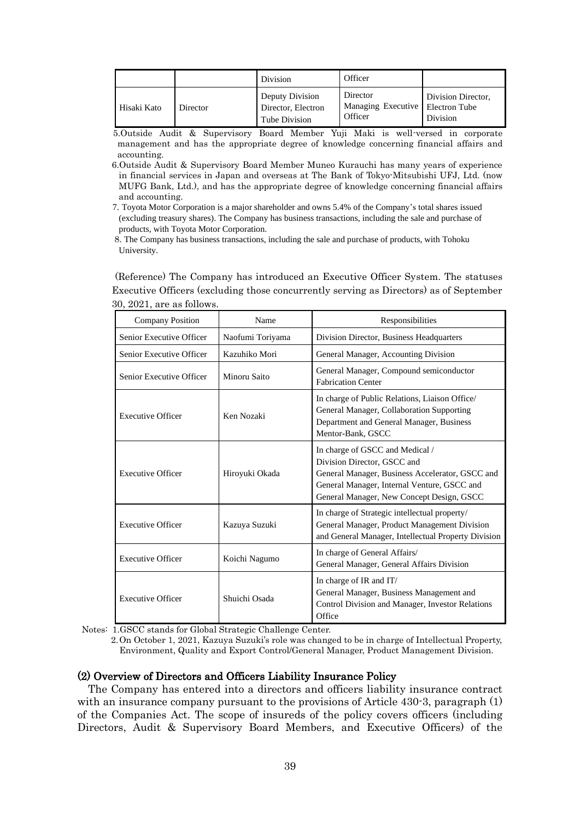|             |          | Division                                               | Officer                                   |                                                 |
|-------------|----------|--------------------------------------------------------|-------------------------------------------|-------------------------------------------------|
| Hisaki Kato | Director | Deputy Division<br>Director, Electron<br>Tube Division | Director<br>Managing Executive<br>Officer | Division Director,<br>Electron Tube<br>Division |

5.Outside Audit & Supervisory Board Member Yuji Maki is well-versed in corporate management and has the appropriate degree of knowledge concerning financial affairs and accounting.

- 6.Outside Audit & Supervisory Board Member Muneo Kurauchi has many years of experience in financial services in Japan and overseas at The Bank of Tokyo-Mitsubishi UFJ, Ltd. (now MUFG Bank, Ltd.), and has the appropriate degree of knowledge concerning financial affairs and accounting.
- 7. Toyota Motor Corporation is a major shareholder and owns 5.4% of the Company's total shares issued (excluding treasury shares). The Company has business transactions, including the sale and purchase of products, with Toyota Motor Corporation.
- 8. The Company has business transactions, including the sale and purchase of products, with Tohoku University.

 (Reference) The Company has introduced an Executive Officer System. The statuses Executive Officers (excluding those concurrently serving as Directors) as of September 30, 2021, are as follows.

| <b>Company Position</b>  | Name             | Responsibilities                                                                                                                                                                                              |
|--------------------------|------------------|---------------------------------------------------------------------------------------------------------------------------------------------------------------------------------------------------------------|
| Senior Executive Officer | Naofumi Toriyama | Division Director, Business Headquarters                                                                                                                                                                      |
| Senior Executive Officer | Kazuhiko Mori    | General Manager, Accounting Division                                                                                                                                                                          |
| Senior Executive Officer | Minoru Saito     | General Manager, Compound semiconductor<br><b>Fabrication Center</b>                                                                                                                                          |
| <b>Executive Officer</b> | Ken Nozaki       | In charge of Public Relations, Liaison Office/<br>General Manager, Collaboration Supporting<br>Department and General Manager, Business<br>Mentor-Bank, GSCC                                                  |
| <b>Executive Officer</b> | Hiroyuki Okada   | In charge of GSCC and Medical /<br>Division Director, GSCC and<br>General Manager, Business Accelerator, GSCC and<br>General Manager, Internal Venture, GSCC and<br>General Manager, New Concept Design, GSCC |
| <b>Executive Officer</b> | Kazuya Suzuki    | In charge of Strategic intellectual property/<br>General Manager, Product Management Division<br>and General Manager, Intellectual Property Division                                                          |
| <b>Executive Officer</b> | Koichi Nagumo    | In charge of General Affairs/<br>General Manager, General Affairs Division                                                                                                                                    |
| <b>Executive Officer</b> | Shuichi Osada    | In charge of IR and IT/<br>General Manager, Business Management and<br>Control Division and Manager, Investor Relations<br>Office                                                                             |

Notes: 1.GSCC stands for Global Strategic Challenge Center.

2.On October 1, 2021, Kazuya Suzuki's role was changed to be in charge of Intellectual Property, Environment, Quality and Export Control/General Manager, Product Management Division.

### (2) Overview of Directors and Officers Liability Insurance Policy

The Company has entered into a directors and officers liability insurance contract with an insurance company pursuant to the provisions of Article 430-3, paragraph (1) of the Companies Act. The scope of insureds of the policy covers officers (including Directors, Audit & Supervisory Board Members, and Executive Officers) of the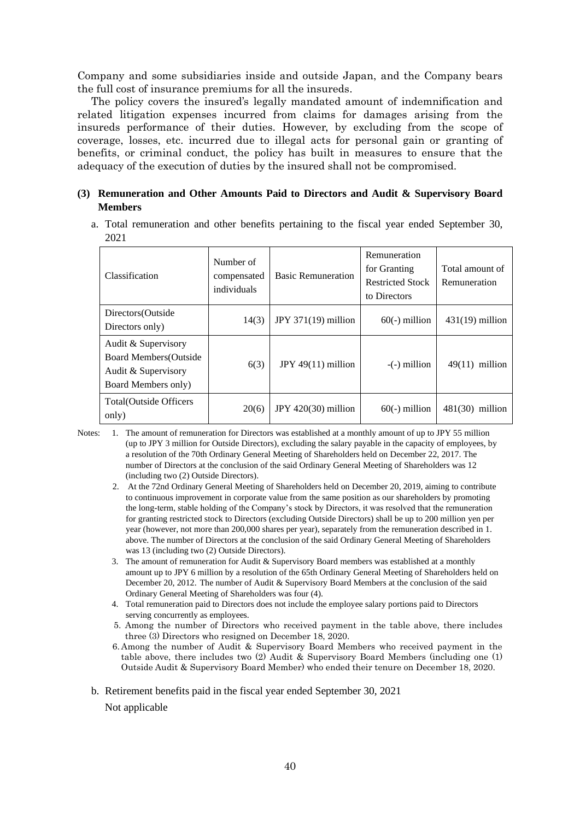Company and some subsidiaries inside and outside Japan, and the Company bears the full cost of insurance premiums for all the insureds.

The policy covers the insured's legally mandated amount of indemnification and related litigation expenses incurred from claims for damages arising from the insureds performance of their duties. However, by excluding from the scope of coverage, losses, etc. incurred due to illegal acts for personal gain or granting of benefits, or criminal conduct, the policy has built in measures to ensure that the adequacy of the execution of duties by the insured shall not be compromised.

### **(3) Remuneration and Other Amounts Paid to Directors and Audit & Supervisory Board Members**

a. Total remuneration and other benefits pertaining to the fiscal year ended September 30, 2021

| Classification                                                                                     | Number of<br>compensated<br>individuals | <b>Basic Remuneration</b> | Remuneration<br>for Granting<br><b>Restricted Stock</b><br>to Directors | Total amount of<br>Remuneration |
|----------------------------------------------------------------------------------------------------|-----------------------------------------|---------------------------|-------------------------------------------------------------------------|---------------------------------|
| Directors (Outside<br>Directors only)                                                              | 14(3)                                   | JPY $371(19)$ million     | $60(-)$ million                                                         | $431(19)$ million               |
| Audit & Supervisory<br><b>Board Members (Outside</b><br>Audit & Supervisory<br>Board Members only) | 6(3)                                    | JPY $49(11)$ million      | $-(-)$ million                                                          | 49(11)<br>million               |
| Total (Outside Officers<br>only)                                                                   | 20(6)                                   | JPY $420(30)$ million     | $60(-)$ million                                                         | 481(30)<br>million              |

- Notes: 1. The amount of remuneration for Directors was established at a monthly amount of up to JPY 55 million (up to JPY 3 million for Outside Directors), excluding the salary payable in the capacity of employees, by a resolution of the 70th Ordinary General Meeting of Shareholders held on December 22, 2017. The number of Directors at the conclusion of the said Ordinary General Meeting of Shareholders was 12 (including two (2) Outside Directors).
	- 2. At the 72nd Ordinary General Meeting of Shareholders held on December 20, 2019, aiming to contribute to continuous improvement in corporate value from the same position as our shareholders by promoting the long-term, stable holding of the Company's stock by Directors, it was resolved that the remuneration for granting restricted stock to Directors (excluding Outside Directors) shall be up to 200 million yen per year (however, not more than 200,000 shares per year), separately from the remuneration described in 1. above. The number of Directors at the conclusion of the said Ordinary General Meeting of Shareholders was 13 (including two (2) Outside Directors).
	- 3. The amount of remuneration for Audit & Supervisory Board members was established at a monthly amount up to JPY 6 million by a resolution of the 65th Ordinary General Meeting of Shareholders held on December 20, 2012. The number of Audit & Supervisory Board Members at the conclusion of the said Ordinary General Meeting of Shareholders was four (4).
	- 4. Total remuneration paid to Directors does not include the employee salary portions paid to Directors serving concurrently as employees.
	- 5. Among the number of Directors who received payment in the table above, there includes three (3) Directors who resigned on December 18, 2020.
	- 6. Among the number of Audit & Supervisory Board Members who received payment in the table above, there includes two (2) Audit & Supervisory Board Members (including one (1) Outside Audit & Supervisory Board Member) who ended their tenure on December 18, 2020.

b. Retirement benefits paid in the fiscal year ended September 30, 2021

Not applicable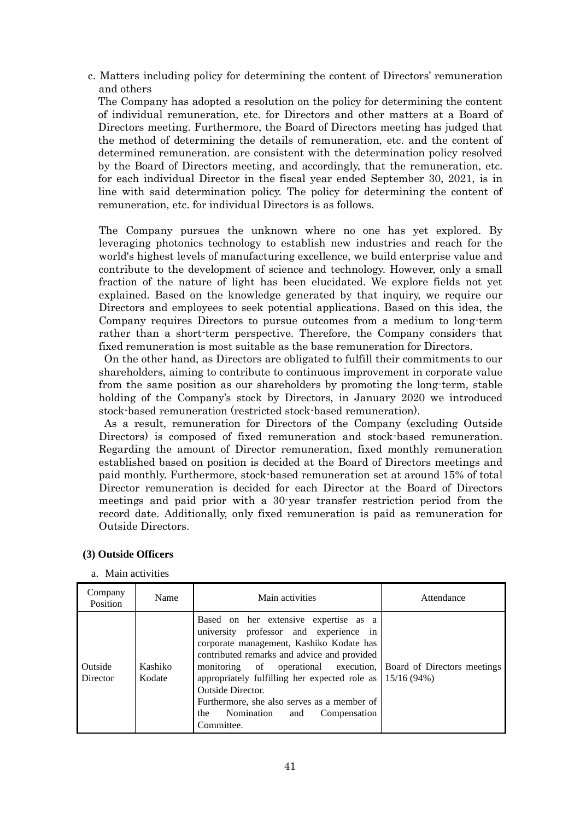c. Matters including policy for determining the content of Directors' remuneration and others

The Company has adopted a resolution on the policy for determining the content of individual remuneration, etc. for Directors and other matters at a Board of Directors meeting. Furthermore, the Board of Directors meeting has judged that the method of determining the details of remuneration, etc. and the content of determined remuneration. are consistent with the determination policy resolved by the Board of Directors meeting, and accordingly, that the remuneration, etc. for each individual Director in the fiscal year ended September 30, 2021, is in line with said determination policy. The policy for determining the content of remuneration, etc. for individual Directors is as follows.

 The Company pursues the unknown where no one has yet explored. By leveraging photonics technology to establish new industries and reach for the world's highest levels of manufacturing excellence, we build enterprise value and contribute to the development of science and technology. However, only a small fraction of the nature of light has been elucidated. We explore fields not yet explained. Based on the knowledge generated by that inquiry, we require our Directors and employees to seek potential applications. Based on this idea, the Company requires Directors to pursue outcomes from a medium to long-term rather than a short-term perspective. Therefore, the Company considers that fixed remuneration is most suitable as the base remuneration for Directors.

On the other hand, as Directors are obligated to fulfill their commitments to our shareholders, aiming to contribute to continuous improvement in corporate value from the same position as our shareholders by promoting the long-term, stable holding of the Company's stock by Directors, in January 2020 we introduced stock-based remuneration (restricted stock-based remuneration).

As a result, remuneration for Directors of the Company (excluding Outside Directors) is composed of fixed remuneration and stock-based remuneration. Regarding the amount of Director remuneration, fixed monthly remuneration established based on position is decided at the Board of Directors meetings and paid monthly. Furthermore, stock-based remuneration set at around 15% of total Director remuneration is decided for each Director at the Board of Directors meetings and paid prior with a 30-year transfer restriction period from the record date. Additionally, only fixed remuneration is paid as remuneration for Outside Directors.

| Company<br>Position | Name              | Main activities                                                                                                                                                                                                                                                                                                                                                                                                                                          | Attendance |
|---------------------|-------------------|----------------------------------------------------------------------------------------------------------------------------------------------------------------------------------------------------------------------------------------------------------------------------------------------------------------------------------------------------------------------------------------------------------------------------------------------------------|------------|
| Outside<br>Director | Kashiko<br>Kodate | Based on her extensive expertise as a<br>university professor and experience in<br>corporate management, Kashiko Kodate has<br>contributed remarks and advice and provided<br>monitoring of operational execution, Board of Directors meetings<br>appropriately fulfilling her expected role as $\vert$ 15/16 (94%)<br><b>Outside Director.</b><br>Furthermore, she also serves as a member of<br>Nomination<br>Compensation<br>and<br>the<br>Committee. |            |

#### **(3) Outside Officers**

a. Main activities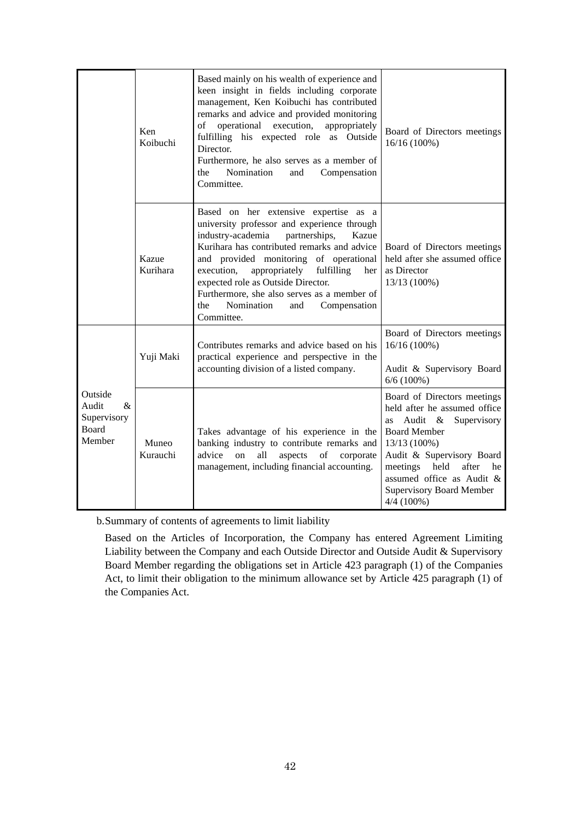|                                                            | Ken<br>Koibuchi   | Based mainly on his wealth of experience and<br>keen insight in fields including corporate<br>management, Ken Koibuchi has contributed<br>remarks and advice and provided monitoring<br>of<br>operational execution,<br>appropriately<br>fulfilling his expected role as Outside<br>Director.<br>Furthermore, he also serves as a member of<br>Nomination<br>the<br>and<br>Compensation<br>Committee.                           | Board of Directors meetings<br>$16/16(100\%)$                                                                                                                                                                                                                                      |
|------------------------------------------------------------|-------------------|---------------------------------------------------------------------------------------------------------------------------------------------------------------------------------------------------------------------------------------------------------------------------------------------------------------------------------------------------------------------------------------------------------------------------------|------------------------------------------------------------------------------------------------------------------------------------------------------------------------------------------------------------------------------------------------------------------------------------|
|                                                            | Kazue<br>Kurihara | Based on her extensive expertise as a<br>university professor and experience through<br>industry-academia<br>partnerships,<br>Kazue<br>Kurihara has contributed remarks and advice<br>and provided monitoring of operational<br>execution,<br>appropriately<br>fulfilling<br>her<br>expected role as Outside Director.<br>Furthermore, she also serves as a member of<br>Nomination<br>the<br>Compensation<br>and<br>Committee. | Board of Directors meetings<br>held after she assumed office<br>as Director<br>13/13 (100%)                                                                                                                                                                                        |
| Outside<br>Audit<br>$\&$<br>Supervisory<br>Board<br>Member | Yuji Maki         | Contributes remarks and advice based on his<br>practical experience and perspective in the<br>accounting division of a listed company.                                                                                                                                                                                                                                                                                          | Board of Directors meetings<br>16/16 (100%)<br>Audit & Supervisory Board<br>$6/6(100\%)$                                                                                                                                                                                           |
|                                                            | Muneo<br>Kurauchi | Takes advantage of his experience in the<br>banking industry to contribute remarks and<br>advice<br>all<br>aspects<br>on<br>of<br>corporate<br>management, including financial accounting.                                                                                                                                                                                                                                      | Board of Directors meetings<br>held after he assumed office<br>Audit &<br>Supervisory<br>as<br><b>Board Member</b><br>13/13 (100%)<br>Audit & Supervisory Board<br>meetings<br>held<br>after<br>he<br>assumed office as Audit &<br><b>Supervisory Board Member</b><br>$4/4(100\%)$ |

b.Summary of contents of agreements to limit liability

Based on the Articles of Incorporation, the Company has entered Agreement Limiting Liability between the Company and each Outside Director and Outside Audit & Supervisory Board Member regarding the obligations set in Article 423 paragraph (1) of the Companies Act, to limit their obligation to the minimum allowance set by Article 425 paragraph (1) of the Companies Act.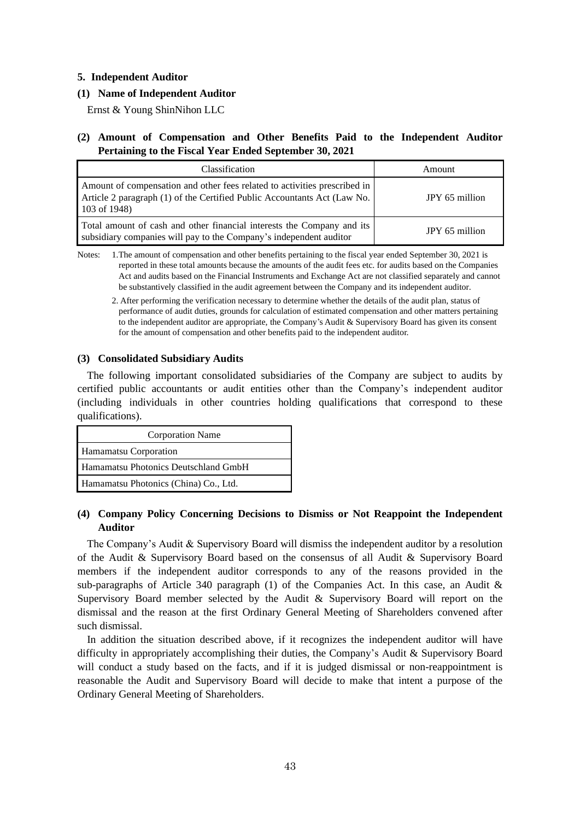#### **5. Independent Auditor**

### **(1) Name of Independent Auditor**

Ernst & Young ShinNihon LLC

### **(2) Amount of Compensation and Other Benefits Paid to the Independent Auditor Pertaining to the Fiscal Year Ended September 30, 2021**

| Classification                                                                                                                                                        | Amount         |
|-----------------------------------------------------------------------------------------------------------------------------------------------------------------------|----------------|
| Amount of compensation and other fees related to activities prescribed in<br>Article 2 paragraph (1) of the Certified Public Accountants Act (Law No.<br>103 of 1948) | JPY 65 million |
| Total amount of cash and other financial interests the Company and its<br>subsidiary companies will pay to the Company's independent auditor                          | JPY 65 million |

Notes: 1.The amount of compensation and other benefits pertaining to the fiscal year ended September 30, 2021 is reported in these total amounts because the amounts of the audit fees etc. for audits based on the Companies Act and audits based on the Financial Instruments and Exchange Act are not classified separately and cannot be substantively classified in the audit agreement between the Company and its independent auditor.

2. After performing the verification necessary to determine whether the details of the audit plan, status of performance of audit duties, grounds for calculation of estimated compensation and other matters pertaining to the independent auditor are appropriate, the Company's Audit & Supervisory Board has given its consent for the amount of compensation and other benefits paid to the independent auditor.

#### **(3) Consolidated Subsidiary Audits**

The following important consolidated subsidiaries of the Company are subject to audits by certified public accountants or audit entities other than the Company's independent auditor (including individuals in other countries holding qualifications that correspond to these qualifications).

| <b>Corporation Name</b>               |  |  |
|---------------------------------------|--|--|
| Hamamatsu Corporation                 |  |  |
| Hamamatsu Photonics Deutschland GmbH  |  |  |
| Hamamatsu Photonics (China) Co., Ltd. |  |  |

### **(4) Company Policy Concerning Decisions to Dismiss or Not Reappoint the Independent Auditor**

The Company's Audit & Supervisory Board will dismiss the independent auditor by a resolution of the Audit & Supervisory Board based on the consensus of all Audit & Supervisory Board members if the independent auditor corresponds to any of the reasons provided in the sub-paragraphs of Article 340 paragraph  $(1)$  of the Companies Act. In this case, an Audit & Supervisory Board member selected by the Audit & Supervisory Board will report on the dismissal and the reason at the first Ordinary General Meeting of Shareholders convened after such dismissal.

In addition the situation described above, if it recognizes the independent auditor will have difficulty in appropriately accomplishing their duties, the Company's Audit & Supervisory Board will conduct a study based on the facts, and if it is judged dismissal or non-reappointment is reasonable the Audit and Supervisory Board will decide to make that intent a purpose of the Ordinary General Meeting of Shareholders.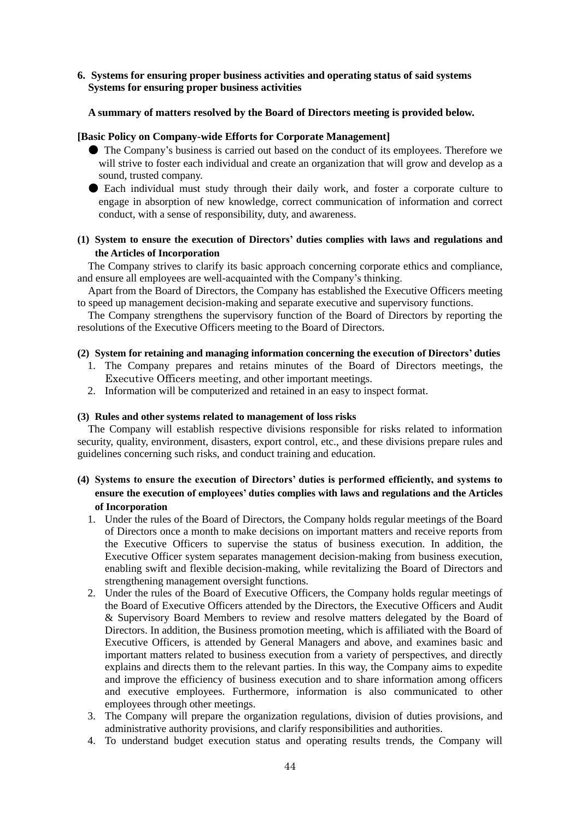### **6. Systems for ensuring proper business activities and operating status of said systems Systems for ensuring proper business activities**

### **A summary of matters resolved by the Board of Directors meeting is provided below.**

### **[Basic Policy on Company-wide Efforts for Corporate Management]**

- The Company's business is carried out based on the conduct of its employees. Therefore we will strive to foster each individual and create an organization that will grow and develop as a sound, trusted company.
- Each individual must study through their daily work, and foster a corporate culture to engage in absorption of new knowledge, correct communication of information and correct conduct, with a sense of responsibility, duty, and awareness.

#### **(1) System to ensure the execution of Directors' duties complies with laws and regulations and the Articles of Incorporation**

The Company strives to clarify its basic approach concerning corporate ethics and compliance, and ensure all employees are well-acquainted with the Company's thinking.

Apart from the Board of Directors, the Company has established the Executive Officers meeting to speed up management decision-making and separate executive and supervisory functions.

The Company strengthens the supervisory function of the Board of Directors by reporting the resolutions of the Executive Officers meeting to the Board of Directors.

#### **(2) System for retaining and managing information concerning the execution of Directors' duties**

- 1. The Company prepares and retains minutes of the Board of Directors meetings, the Executive Officers meeting, and other important meetings.
- 2. Information will be computerized and retained in an easy to inspect format.

#### **(3) Rules and other systems related to management of loss risks**

The Company will establish respective divisions responsible for risks related to information security, quality, environment, disasters, export control, etc., and these divisions prepare rules and guidelines concerning such risks, and conduct training and education.

### **(4) Systems to ensure the execution of Directors' duties is performed efficiently, and systems to ensure the execution of employees' duties complies with laws and regulations and the Articles of Incorporation**

- 1. Under the rules of the Board of Directors, the Company holds regular meetings of the Board of Directors once a month to make decisions on important matters and receive reports from the Executive Officers to supervise the status of business execution. In addition, the Executive Officer system separates management decision-making from business execution, enabling swift and flexible decision-making, while revitalizing the Board of Directors and strengthening management oversight functions.
- 2. Under the rules of the Board of Executive Officers, the Company holds regular meetings of the Board of Executive Officers attended by the Directors, the Executive Officers and Audit & Supervisory Board Members to review and resolve matters delegated by the Board of Directors. In addition, the Business promotion meeting, which is affiliated with the Board of Executive Officers, is attended by General Managers and above, and examines basic and important matters related to business execution from a variety of perspectives, and directly explains and directs them to the relevant parties. In this way, the Company aims to expedite and improve the efficiency of business execution and to share information among officers and executive employees. Furthermore, information is also communicated to other employees through other meetings.
- 3. The Company will prepare the organization regulations, division of duties provisions, and administrative authority provisions, and clarify responsibilities and authorities.
- 4. To understand budget execution status and operating results trends, the Company will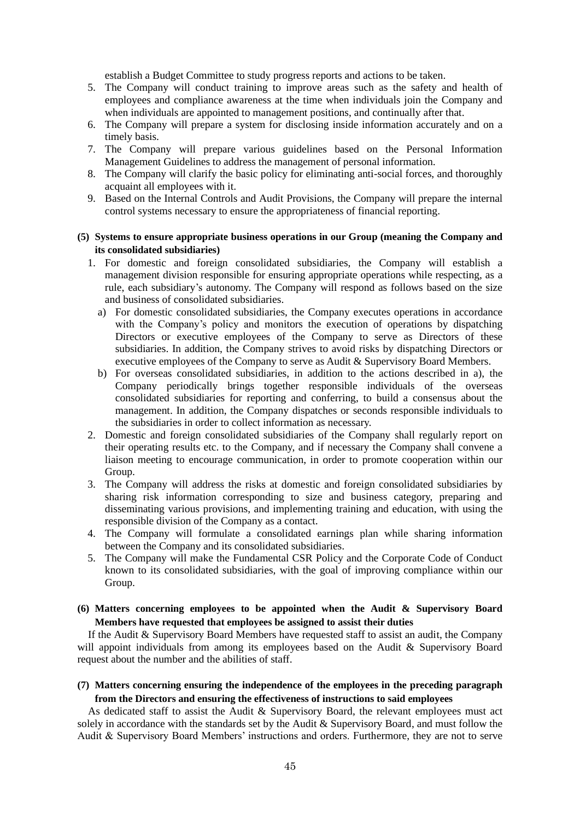establish a Budget Committee to study progress reports and actions to be taken.

- 5. The Company will conduct training to improve areas such as the safety and health of employees and compliance awareness at the time when individuals join the Company and when individuals are appointed to management positions, and continually after that.
- 6. The Company will prepare a system for disclosing inside information accurately and on a timely basis.
- 7. The Company will prepare various guidelines based on the Personal Information Management Guidelines to address the management of personal information.
- 8. The Company will clarify the basic policy for eliminating anti-social forces, and thoroughly acquaint all employees with it.
- 9. Based on the Internal Controls and Audit Provisions, the Company will prepare the internal control systems necessary to ensure the appropriateness of financial reporting.

#### **(5) Systems to ensure appropriate business operations in our Group (meaning the Company and its consolidated subsidiaries)**

- 1. For domestic and foreign consolidated subsidiaries, the Company will establish a management division responsible for ensuring appropriate operations while respecting, as a rule, each subsidiary's autonomy. The Company will respond as follows based on the size and business of consolidated subsidiaries.
	- a) For domestic consolidated subsidiaries, the Company executes operations in accordance with the Company's policy and monitors the execution of operations by dispatching Directors or executive employees of the Company to serve as Directors of these subsidiaries. In addition, the Company strives to avoid risks by dispatching Directors or executive employees of the Company to serve as Audit & Supervisory Board Members.
	- b) For overseas consolidated subsidiaries, in addition to the actions described in a), the Company periodically brings together responsible individuals of the overseas consolidated subsidiaries for reporting and conferring, to build a consensus about the management. In addition, the Company dispatches or seconds responsible individuals to the subsidiaries in order to collect information as necessary.
- 2. Domestic and foreign consolidated subsidiaries of the Company shall regularly report on their operating results etc. to the Company, and if necessary the Company shall convene a liaison meeting to encourage communication, in order to promote cooperation within our Group.
- 3. The Company will address the risks at domestic and foreign consolidated subsidiaries by sharing risk information corresponding to size and business category, preparing and disseminating various provisions, and implementing training and education, with using the responsible division of the Company as a contact.
- 4. The Company will formulate a consolidated earnings plan while sharing information between the Company and its consolidated subsidiaries.
- 5. The Company will make the Fundamental CSR Policy and the Corporate Code of Conduct known to its consolidated subsidiaries, with the goal of improving compliance within our Group.

### **(6) Matters concerning employees to be appointed when the Audit & Supervisory Board Members have requested that employees be assigned to assist their duties**

If the Audit & Supervisory Board Members have requested staff to assist an audit, the Company will appoint individuals from among its employees based on the Audit & Supervisory Board request about the number and the abilities of staff.

### **(7) Matters concerning ensuring the independence of the employees in the preceding paragraph from the Directors and ensuring the effectiveness of instructions to said employees**

As dedicated staff to assist the Audit & Supervisory Board, the relevant employees must act solely in accordance with the standards set by the Audit & Supervisory Board, and must follow the Audit & Supervisory Board Members' instructions and orders. Furthermore, they are not to serve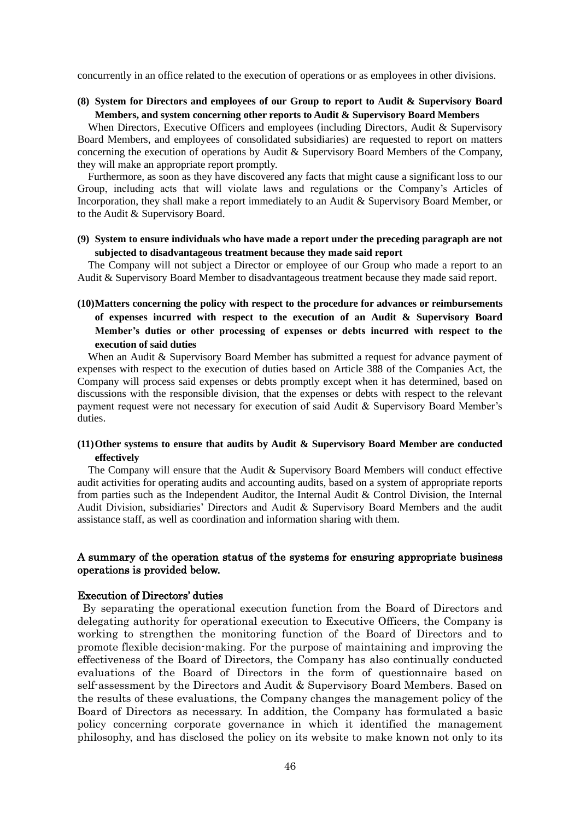concurrently in an office related to the execution of operations or as employees in other divisions.

**(8) System for Directors and employees of our Group to report to Audit & Supervisory Board Members, and system concerning other reports to Audit & Supervisory Board Members**

When Directors, Executive Officers and employees (including Directors, Audit & Supervisory Board Members, and employees of consolidated subsidiaries) are requested to report on matters concerning the execution of operations by Audit & Supervisory Board Members of the Company, they will make an appropriate report promptly.

Furthermore, as soon as they have discovered any facts that might cause a significant loss to our Group, including acts that will violate laws and regulations or the Company's Articles of Incorporation, they shall make a report immediately to an Audit & Supervisory Board Member, or to the Audit & Supervisory Board.

### **(9) System to ensure individuals who have made a report under the preceding paragraph are not subjected to disadvantageous treatment because they made said report**

The Company will not subject a Director or employee of our Group who made a report to an Audit & Supervisory Board Member to disadvantageous treatment because they made said report.

# **(10)Matters concerning the policy with respect to the procedure for advances or reimbursements of expenses incurred with respect to the execution of an Audit & Supervisory Board Member's duties or other processing of expenses or debts incurred with respect to the execution of said duties**

When an Audit & Supervisory Board Member has submitted a request for advance payment of expenses with respect to the execution of duties based on Article 388 of the Companies Act, the Company will process said expenses or debts promptly except when it has determined, based on discussions with the responsible division, that the expenses or debts with respect to the relevant payment request were not necessary for execution of said Audit & Supervisory Board Member's duties.

### **(11)Other systems to ensure that audits by Audit & Supervisory Board Member are conducted effectively**

The Company will ensure that the Audit & Supervisory Board Members will conduct effective audit activities for operating audits and accounting audits, based on a system of appropriate reports from parties such as the Independent Auditor, the Internal Audit & Control Division, the Internal Audit Division, subsidiaries' Directors and Audit & Supervisory Board Members and the audit assistance staff, as well as coordination and information sharing with them.

### A summary of the operation status of the systems for ensuring appropriate business operations is provided below.

### Execution of Directors' duties

By separating the operational execution function from the Board of Directors and delegating authority for operational execution to Executive Officers, the Company is working to strengthen the monitoring function of the Board of Directors and to promote flexible decision-making. For the purpose of maintaining and improving the effectiveness of the Board of Directors, the Company has also continually conducted evaluations of the Board of Directors in the form of questionnaire based on self-assessment by the Directors and Audit & Supervisory Board Members. Based on the results of these evaluations, the Company changes the management policy of the Board of Directors as necessary. In addition, the Company has formulated a basic policy concerning corporate governance in which it identified the management philosophy, and has disclosed the policy on its website to make known not only to its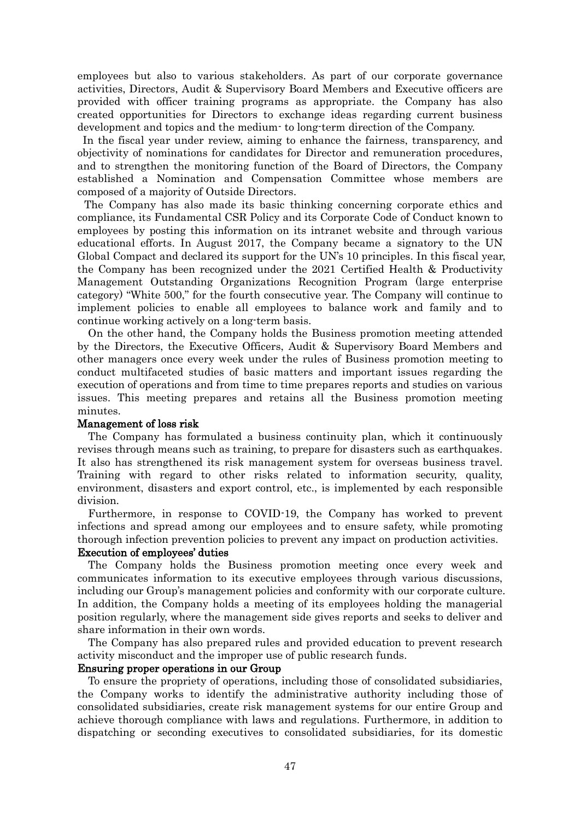employees but also to various stakeholders. As part of our corporate governance activities, Directors, Audit & Supervisory Board Members and Executive officers are provided with officer training programs as appropriate. the Company has also created opportunities for Directors to exchange ideas regarding current business development and topics and the medium- to long-term direction of the Company.

In the fiscal year under review, aiming to enhance the fairness, transparency, and objectivity of nominations for candidates for Director and remuneration procedures, and to strengthen the monitoring function of the Board of Directors, the Company established a Nomination and Compensation Committee whose members are composed of a majority of Outside Directors.

The Company has also made its basic thinking concerning corporate ethics and compliance, its Fundamental CSR Policy and its Corporate Code of Conduct known to employees by posting this information on its intranet website and through various educational efforts. In August 2017, the Company became a signatory to the UN Global Compact and declared its support for the UN's 10 principles. In this fiscal year, the Company has been recognized under the 2021 Certified Health & Productivity Management Outstanding Organizations Recognition Program (large enterprise category) "White 500," for the fourth consecutive year. The Company will continue to implement policies to enable all employees to balance work and family and to continue working actively on a long-term basis.

On the other hand, the Company holds the Business promotion meeting attended by the Directors, the Executive Officers, Audit & Supervisory Board Members and other managers once every week under the rules of Business promotion meeting to conduct multifaceted studies of basic matters and important issues regarding the execution of operations and from time to time prepares reports and studies on various issues. This meeting prepares and retains all the Business promotion meeting minutes.

#### Management of loss risk

The Company has formulated a business continuity plan, which it continuously revises through means such as training, to prepare for disasters such as earthquakes. It also has strengthened its risk management system for overseas business travel. Training with regard to other risks related to information security, quality, environment, disasters and export control, etc., is implemented by each responsible division.

Furthermore, in response to COVID-19, the Company has worked to prevent infections and spread among our employees and to ensure safety, while promoting thorough infection prevention policies to prevent any impact on production activities.

### Execution of employees' duties

The Company holds the Business promotion meeting once every week and communicates information to its executive employees through various discussions, including our Group's management policies and conformity with our corporate culture. In addition, the Company holds a meeting of its employees holding the managerial position regularly, where the management side gives reports and seeks to deliver and share information in their own words.

The Company has also prepared rules and provided education to prevent research activity misconduct and the improper use of public research funds.

#### Ensuring proper operations in our Group

To ensure the propriety of operations, including those of consolidated subsidiaries, the Company works to identify the administrative authority including those of consolidated subsidiaries, create risk management systems for our entire Group and achieve thorough compliance with laws and regulations. Furthermore, in addition to dispatching or seconding executives to consolidated subsidiaries, for its domestic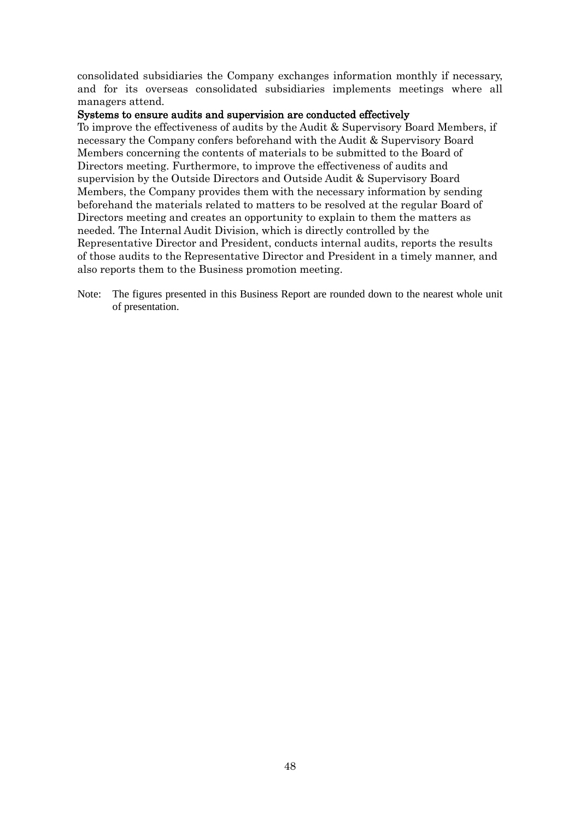consolidated subsidiaries the Company exchanges information monthly if necessary, and for its overseas consolidated subsidiaries implements meetings where all managers attend.

### Systems to ensure audits and supervision are conducted effectively

To improve the effectiveness of audits by the Audit & Supervisory Board Members, if necessary the Company confers beforehand with the Audit & Supervisory Board Members concerning the contents of materials to be submitted to the Board of Directors meeting. Furthermore, to improve the effectiveness of audits and supervision by the Outside Directors and Outside Audit & Supervisory Board Members, the Company provides them with the necessary information by sending beforehand the materials related to matters to be resolved at the regular Board of Directors meeting and creates an opportunity to explain to them the matters as needed. The Internal Audit Division, which is directly controlled by the Representative Director and President, conducts internal audits, reports the results of those audits to the Representative Director and President in a timely manner, and also reports them to the Business promotion meeting.

Note: The figures presented in this Business Report are rounded down to the nearest whole unit of presentation.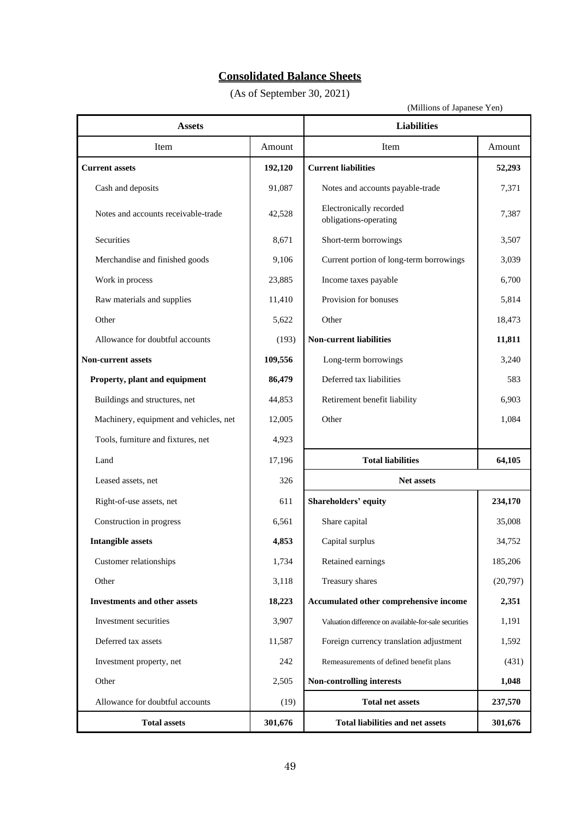# **Consolidated Balance Sheets**

(As of September 30, 2021)

| <b>Assets</b>                          |         | <b>Liabilities</b>                                    |          |  |
|----------------------------------------|---------|-------------------------------------------------------|----------|--|
| Item                                   | Amount  | Item                                                  | Amount   |  |
| <b>Current assets</b>                  | 192,120 | <b>Current liabilities</b>                            | 52,293   |  |
| Cash and deposits                      | 91,087  | Notes and accounts payable-trade                      | 7,371    |  |
| Notes and accounts receivable-trade    | 42,528  | Electronically recorded<br>obligations-operating      | 7,387    |  |
| Securities                             | 8,671   | Short-term borrowings                                 | 3,507    |  |
| Merchandise and finished goods         | 9,106   | Current portion of long-term borrowings               | 3,039    |  |
| Work in process                        | 23,885  | Income taxes payable                                  | 6,700    |  |
| Raw materials and supplies             | 11,410  | Provision for bonuses                                 | 5,814    |  |
| Other                                  | 5,622   | Other                                                 | 18,473   |  |
| Allowance for doubtful accounts        | (193)   | <b>Non-current liabilities</b>                        | 11,811   |  |
| <b>Non-current assets</b>              | 109,556 | Long-term borrowings                                  | 3,240    |  |
| Property, plant and equipment          | 86,479  | Deferred tax liabilities                              | 583      |  |
| Buildings and structures, net          | 44,853  | Retirement benefit liability                          | 6,903    |  |
| Machinery, equipment and vehicles, net | 12,005  | Other                                                 | 1,084    |  |
| Tools, furniture and fixtures, net     | 4,923   |                                                       |          |  |
| Land                                   | 17,196  | <b>Total liabilities</b>                              | 64,105   |  |
| Leased assets, net                     | 326     | <b>Net assets</b>                                     |          |  |
| Right-of-use assets, net               | 611     | <b>Shareholders' equity</b>                           | 234,170  |  |
| Construction in progress               | 6,561   | Share capital                                         | 35,008   |  |
| <b>Intangible assets</b>               | 4,853   | Capital surplus                                       | 34,752   |  |
| Customer relationships                 | 1,734   | Retained earnings                                     | 185,206  |  |
| Other                                  | 3,118   | Treasury shares                                       | (20,797) |  |
| <b>Investments and other assets</b>    | 18,223  | Accumulated other comprehensive income                | 2,351    |  |
| Investment securities                  | 3,907   | Valuation difference on available-for-sale securities | 1,191    |  |
| Deferred tax assets                    | 11,587  | Foreign currency translation adjustment               | 1,592    |  |
| Investment property, net               | 242     | Remeasurements of defined benefit plans               | (431)    |  |
| Other                                  | 2,505   | Non-controlling interests                             | 1,048    |  |
| Allowance for doubtful accounts        | (19)    | <b>Total net assets</b>                               | 237,570  |  |
| <b>Total assets</b>                    | 301,676 | <b>Total liabilities and net assets</b>               | 301,676  |  |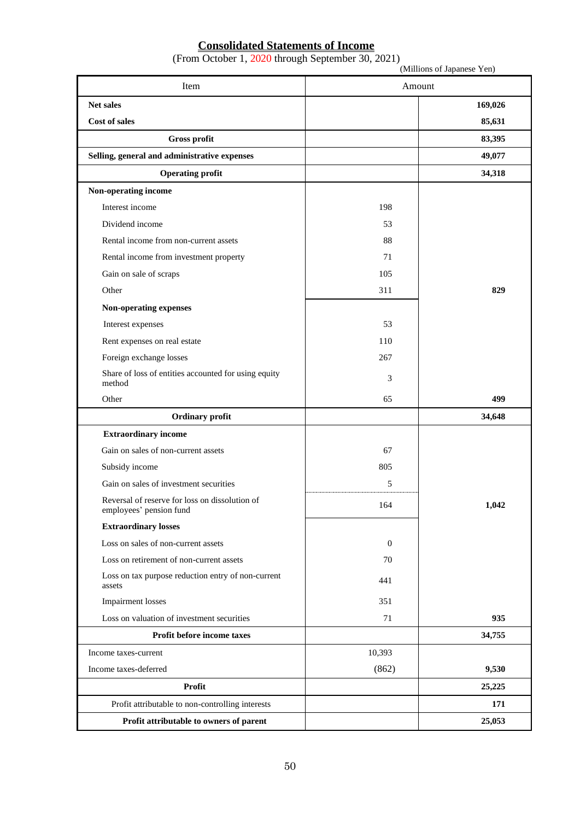### **Consolidated Statements of Income**

(From October 1, 2020 through September 30, 2021)

|                                                                           |                  | (Millions of Japanese Yen) |
|---------------------------------------------------------------------------|------------------|----------------------------|
| Item                                                                      |                  | Amount                     |
| <b>Net sales</b>                                                          |                  | 169,026                    |
| Cost of sales                                                             |                  | 85,631                     |
| Gross profit                                                              |                  | 83,395                     |
| Selling, general and administrative expenses                              |                  | 49,077                     |
| <b>Operating profit</b>                                                   |                  | 34,318                     |
| Non-operating income                                                      |                  |                            |
| Interest income                                                           | 198              |                            |
| Dividend income                                                           | 53               |                            |
| Rental income from non-current assets                                     | 88               |                            |
| Rental income from investment property                                    | 71               |                            |
| Gain on sale of scraps                                                    | 105              |                            |
| Other                                                                     | 311              | 829                        |
| Non-operating expenses                                                    |                  |                            |
| Interest expenses                                                         | 53               |                            |
| Rent expenses on real estate                                              | 110              |                            |
| Foreign exchange losses                                                   | 267              |                            |
| Share of loss of entities accounted for using equity<br>method            | 3                |                            |
| Other                                                                     | 65               | 499                        |
| Ordinary profit                                                           |                  | 34,648                     |
| <b>Extraordinary income</b>                                               |                  |                            |
| Gain on sales of non-current assets                                       | 67               |                            |
| Subsidy income                                                            | 805              |                            |
| Gain on sales of investment securities                                    | 5                |                            |
| Reversal of reserve for loss on dissolution of<br>employees' pension fund | 164              | 1,042                      |
| <b>Extraordinary losses</b>                                               |                  |                            |
| Loss on sales of non-current assets                                       | $\boldsymbol{0}$ |                            |
| Loss on retirement of non-current assets                                  | 70               |                            |
| Loss on tax purpose reduction entry of non-current<br>assets              | 441              |                            |
| <b>Impairment</b> losses                                                  | 351              |                            |
| Loss on valuation of investment securities                                | 71               | 935                        |
| Profit before income taxes                                                |                  | 34,755                     |
| Income taxes-current                                                      | 10,393           |                            |
| Income taxes-deferred                                                     | (862)            | 9,530                      |
| Profit                                                                    |                  | 25,225                     |
| Profit attributable to non-controlling interests                          |                  | 171                        |
| Profit attributable to owners of parent                                   |                  | 25,053                     |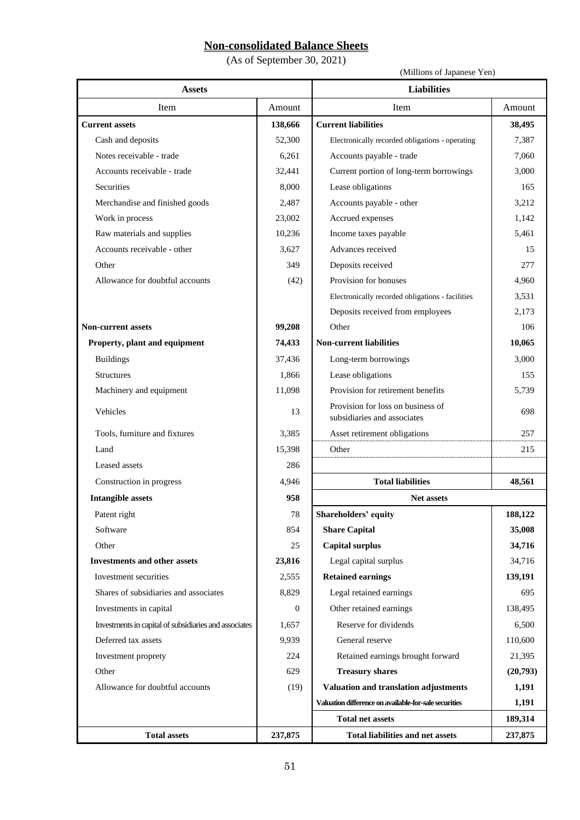# **Non-consolidated Balance Sheets**

(As of September 30, 2021)

(Millions of Japanese Yen)

| <b>Assets</b>                                         |              | <b>Liabilities</b>                                               |          |
|-------------------------------------------------------|--------------|------------------------------------------------------------------|----------|
| Item                                                  | Amount       | Item                                                             | Amount   |
| <b>Current assets</b>                                 | 138,666      | <b>Current liabilities</b>                                       | 38,495   |
| Cash and deposits                                     | 52,300       | Electronically recorded obligations - operating                  | 7,387    |
| Notes receivable - trade                              | 6,261        | Accounts payable - trade                                         | 7,060    |
| Accounts receivable - trade                           | 32,441       | Current portion of long-term borrowings                          | 3,000    |
| Securities                                            | 8,000        | Lease obligations                                                | 165      |
| Merchandise and finished goods                        | 2,487        | Accounts payable - other                                         | 3,212    |
| Work in process                                       | 23,002       | Accrued expenses                                                 | 1,142    |
| Raw materials and supplies                            | 10,236       | Income taxes payable                                             | 5,461    |
| Accounts receivable - other                           | 3,627        | Advances received                                                | 15       |
| Other                                                 | 349          | Deposits received                                                | 277      |
| Allowance for doubtful accounts                       | (42)         | Provision for bonuses                                            | 4,960    |
|                                                       |              | Electronically recorded obligations - facilities                 | 3,531    |
|                                                       |              | Deposits received from employees                                 | 2,173    |
| <b>Non-current assets</b>                             | 99,208       | Other                                                            | 106      |
| Property, plant and equipment                         | 74,433       | <b>Non-current liabilities</b>                                   | 10,065   |
| <b>Buildings</b>                                      | 37,436       | Long-term borrowings                                             | 3,000    |
| Structures                                            | 1,866        | Lease obligations                                                | 155      |
| Machinery and equipment                               | 11,098       | Provision for retirement benefits                                | 5,739    |
| Vehicles                                              | 13           | Provision for loss on business of<br>subsidiaries and associates | 698      |
| Tools, furniture and fixtures                         | 3,385        | Asset retirement obligations                                     | 257      |
| Land                                                  | 15,398       | Other                                                            | 215      |
| Leased assets                                         | 286          |                                                                  |          |
| Construction in progress                              | 4,946        | <b>Total liabilities</b>                                         | 48,561   |
| <b>Intangible assets</b>                              | 958          | Net assets                                                       |          |
| Patent right                                          | 78           | Shareholders' equity                                             | 188,122  |
| Software                                              | 854          | <b>Share Capital</b>                                             | 35,008   |
| Other                                                 | 25           | <b>Capital surplus</b>                                           | 34,716   |
| <b>Investments and other assets</b>                   | 23,816       | Legal capital surplus                                            | 34,716   |
| Investment securities                                 | 2,555        | <b>Retained earnings</b>                                         | 139,191  |
| Shares of subsidiaries and associates                 | 8,829        | Legal retained earnings                                          | 695      |
| Investments in capital                                | $\mathbf{0}$ | Other retained earnings                                          | 138,495  |
| Investments in capital of subsidiaries and associates | 1,657        | Reserve for dividends                                            | 6,500    |
| Deferred tax assets                                   | 9,939        | General reserve                                                  | 110,600  |
| Investment proprety                                   | 224          | Retained earnings brought forward                                | 21,395   |
| Other                                                 | 629          | <b>Treasury shares</b>                                           | (20,793) |
| Allowance for doubtful accounts                       | (19)         | Valuation and translation adjustments                            | 1,191    |
|                                                       |              | Valuation difference on available-for-sale securities            | 1,191    |
|                                                       |              | <b>Total net assets</b>                                          | 189,314  |
| <b>Total assets</b>                                   | 237,875      | <b>Total liabilities and net assets</b>                          | 237,875  |